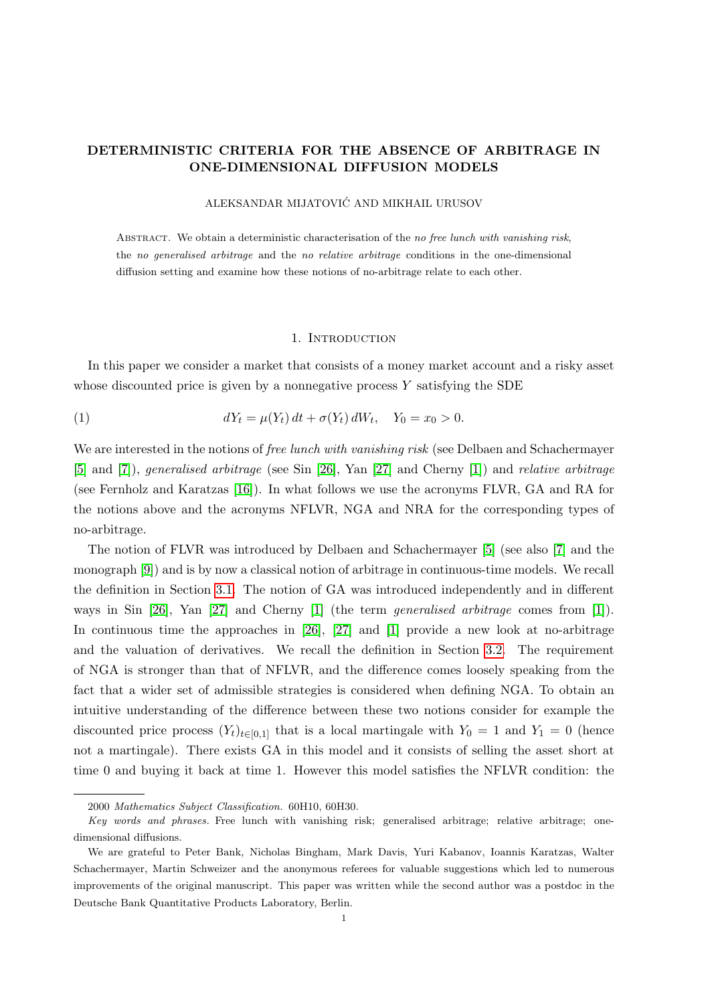# DETERMINISTIC CRITERIA FOR THE ABSENCE OF ARBITRAGE IN ONE-DIMENSIONAL DIFFUSION MODELS

## ALEKSANDAR MIJATOVIC AND MIKHAIL URUSOV ´

ABSTRACT. We obtain a deterministic characterisation of the no free lunch with vanishing risk, the no generalised arbitrage and the no relative arbitrage conditions in the one-dimensional diffusion setting and examine how these notions of no-arbitrage relate to each other.

## <span id="page-0-0"></span>1. INTRODUCTION

In this paper we consider a market that consists of a money market account and a risky asset whose discounted price is given by a nonnegative process  $Y$  satisfying the SDE

(1) 
$$
dY_t = \mu(Y_t) dt + \sigma(Y_t) dW_t, \quad Y_0 = x_0 > 0.
$$

We are interested in the notions of free lunch with vanishing risk (see Delbaen and Schachermayer [\[5\]](#page-18-0) and [\[7\]](#page-18-1)), generalised arbitrage (see Sin [\[26\]](#page-19-0), Yan [\[27\]](#page-19-1) and Cherny [\[1\]](#page-18-2)) and relative arbitrage (see Fernholz and Karatzas [\[16\]](#page-19-2)). In what follows we use the acronyms FLVR, GA and RA for the notions above and the acronyms NFLVR, NGA and NRA for the corresponding types of no-arbitrage.

The notion of FLVR was introduced by Delbaen and Schachermayer [\[5\]](#page-18-0) (see also [\[7\]](#page-18-1) and the monograph [\[9\]](#page-18-3)) and is by now a classical notion of arbitrage in continuous-time models. We recall the definition in Section [3.1.](#page-8-0) The notion of GA was introduced independently and in different ways in Sin [\[26\]](#page-19-0), Yan [\[27\]](#page-19-1) and Cherny [\[1\]](#page-18-2) (the term generalised arbitrage comes from [\[1\]](#page-18-2)). In continuous time the approaches in [\[26\]](#page-19-0), [\[27\]](#page-19-1) and [\[1\]](#page-18-2) provide a new look at no-arbitrage and the valuation of derivatives. We recall the definition in Section [3.2.](#page-10-0) The requirement of NGA is stronger than that of NFLVR, and the difference comes loosely speaking from the fact that a wider set of admissible strategies is considered when defining NGA. To obtain an intuitive understanding of the difference between these two notions consider for example the discounted price process  $(Y_t)_{t\in[0,1]}$  that is a local martingale with  $Y_0 = 1$  and  $Y_1 = 0$  (hence not a martingale). There exists GA in this model and it consists of selling the asset short at time 0 and buying it back at time 1. However this model satisfies the NFLVR condition: the

<sup>2000</sup> Mathematics Subject Classification. 60H10, 60H30.

Key words and phrases. Free lunch with vanishing risk; generalised arbitrage; relative arbitrage; onedimensional diffusions.

We are grateful to Peter Bank, Nicholas Bingham, Mark Davis, Yuri Kabanov, Ioannis Karatzas, Walter Schachermayer, Martin Schweizer and the anonymous referees for valuable suggestions which led to numerous improvements of the original manuscript. This paper was written while the second author was a postdoc in the Deutsche Bank Quantitative Products Laboratory, Berlin.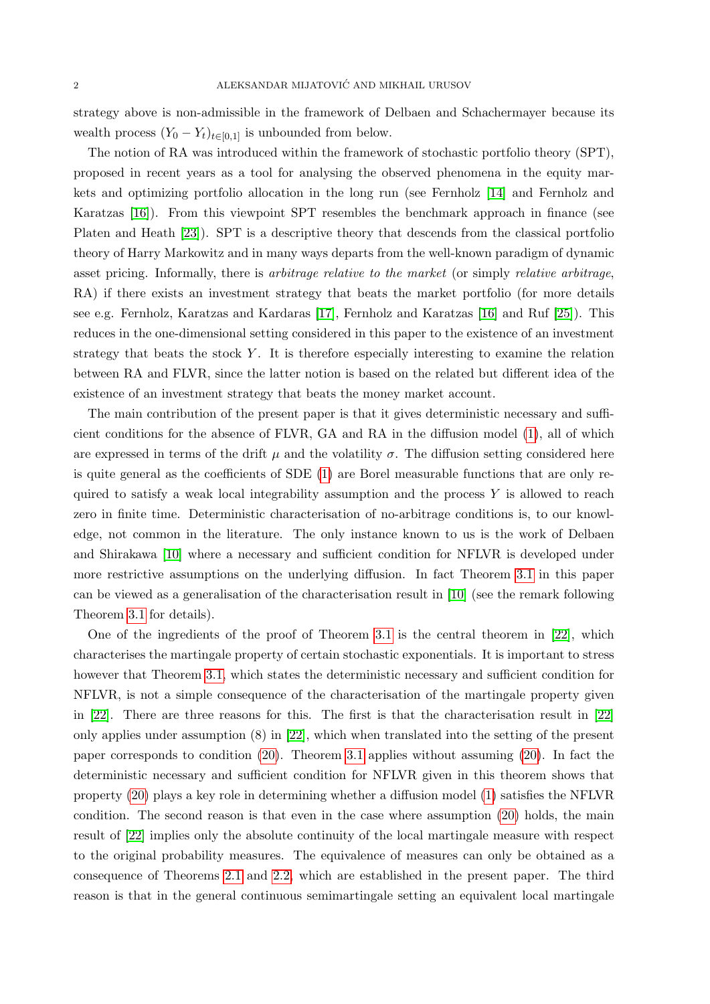strategy above is non-admissible in the framework of Delbaen and Schachermayer because its wealth process  $(Y_0 - Y_t)_{t \in [0,1]}$  is unbounded from below.

The notion of RA was introduced within the framework of stochastic portfolio theory (SPT), proposed in recent years as a tool for analysing the observed phenomena in the equity markets and optimizing portfolio allocation in the long run (see Fernholz [\[14\]](#page-19-3) and Fernholz and Karatzas [\[16\]](#page-19-2)). From this viewpoint SPT resembles the benchmark approach in finance (see Platen and Heath [\[23\]](#page-19-4)). SPT is a descriptive theory that descends from the classical portfolio theory of Harry Markowitz and in many ways departs from the well-known paradigm of dynamic asset pricing. Informally, there is arbitrage relative to the market (or simply relative arbitrage, RA) if there exists an investment strategy that beats the market portfolio (for more details see e.g. Fernholz, Karatzas and Kardaras [\[17\]](#page-19-5), Fernholz and Karatzas [\[16\]](#page-19-2) and Ruf [\[25\]](#page-19-6)). This reduces in the one-dimensional setting considered in this paper to the existence of an investment strategy that beats the stock  $Y$ . It is therefore especially interesting to examine the relation between RA and FLVR, since the latter notion is based on the related but different idea of the existence of an investment strategy that beats the money market account.

The main contribution of the present paper is that it gives deterministic necessary and sufficient conditions for the absence of FLVR, GA and RA in the diffusion model [\(1\)](#page-0-0), all of which are expressed in terms of the drift  $\mu$  and the volatility  $\sigma$ . The diffusion setting considered here is quite general as the coefficients of SDE [\(1\)](#page-0-0) are Borel measurable functions that are only required to satisfy a weak local integrability assumption and the process  $Y$  is allowed to reach zero in finite time. Deterministic characterisation of no-arbitrage conditions is, to our knowledge, not common in the literature. The only instance known to us is the work of Delbaen and Shirakawa [\[10\]](#page-18-4) where a necessary and sufficient condition for NFLVR is developed under more restrictive assumptions on the underlying diffusion. In fact Theorem [3.1](#page-9-0) in this paper can be viewed as a generalisation of the characterisation result in [\[10\]](#page-18-4) (see the remark following Theorem [3.1](#page-9-0) for details).

One of the ingredients of the proof of Theorem [3.1](#page-9-0) is the central theorem in [\[22\]](#page-19-7), which characterises the martingale property of certain stochastic exponentials. It is important to stress however that Theorem [3.1,](#page-9-0) which states the deterministic necessary and sufficient condition for NFLVR, is not a simple consequence of the characterisation of the martingale property given in [\[22\]](#page-19-7). There are three reasons for this. The first is that the characterisation result in [\[22\]](#page-19-7) only applies under assumption (8) in [\[22\]](#page-19-7), which when translated into the setting of the present paper corresponds to condition [\(20\)](#page-8-1). Theorem [3.1](#page-9-0) applies without assuming [\(20\)](#page-8-1). In fact the deterministic necessary and sufficient condition for NFLVR given in this theorem shows that property [\(20\)](#page-8-1) plays a key role in determining whether a diffusion model [\(1\)](#page-0-0) satisfies the NFLVR condition. The second reason is that even in the case where assumption [\(20\)](#page-8-1) holds, the main result of [\[22\]](#page-19-7) implies only the absolute continuity of the local martingale measure with respect to the original probability measures. The equivalence of measures can only be obtained as a consequence of Theorems [2.1](#page-4-0) and [2.2,](#page-4-1) which are established in the present paper. The third reason is that in the general continuous semimartingale setting an equivalent local martingale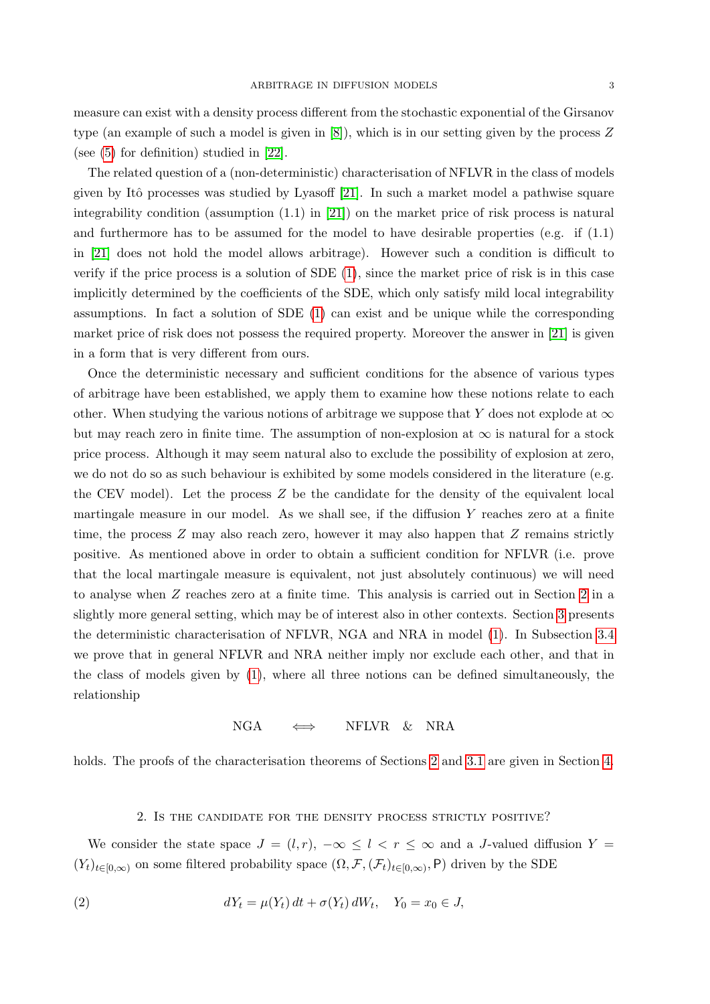measure can exist with a density process different from the stochastic exponential of the Girsanov type (an example of such a model is given in [\[8\]](#page-18-5)), which is in our setting given by the process Z (see [\(5\)](#page-3-0) for definition) studied in [\[22\]](#page-19-7).

The related question of a (non-deterministic) characterisation of NFLVR in the class of models given by Itô processes was studied by Lyasoff [\[21\]](#page-19-8). In such a market model a pathwise square integrability condition (assumption (1.1) in [\[21\]](#page-19-8)) on the market price of risk process is natural and furthermore has to be assumed for the model to have desirable properties (e.g. if  $(1.1)$ ) in [\[21\]](#page-19-8) does not hold the model allows arbitrage). However such a condition is difficult to verify if the price process is a solution of SDE [\(1\)](#page-0-0), since the market price of risk is in this case implicitly determined by the coefficients of the SDE, which only satisfy mild local integrability assumptions. In fact a solution of SDE [\(1\)](#page-0-0) can exist and be unique while the corresponding market price of risk does not possess the required property. Moreover the answer in [\[21\]](#page-19-8) is given in a form that is very different from ours.

Once the deterministic necessary and sufficient conditions for the absence of various types of arbitrage have been established, we apply them to examine how these notions relate to each other. When studying the various notions of arbitrage we suppose that Y does not explode at  $\infty$ but may reach zero in finite time. The assumption of non-explosion at  $\infty$  is natural for a stock price process. Although it may seem natural also to exclude the possibility of explosion at zero, we do not do so as such behaviour is exhibited by some models considered in the literature (e.g. the CEV model). Let the process  $Z$  be the candidate for the density of the equivalent local martingale measure in our model. As we shall see, if the diffusion  $Y$  reaches zero at a finite time, the process  $Z$  may also reach zero, however it may also happen that  $Z$  remains strictly positive. As mentioned above in order to obtain a sufficient condition for NFLVR (i.e. prove that the local martingale measure is equivalent, not just absolutely continuous) we will need to analyse when Z reaches zero at a finite time. This analysis is carried out in Section [2](#page-2-0) in a slightly more general setting, which may be of interest also in other contexts. Section [3](#page-7-0) presents the deterministic characterisation of NFLVR, NGA and NRA in model [\(1\)](#page-0-0). In Subsection [3.4](#page-15-0) we prove that in general NFLVR and NRA neither imply nor exclude each other, and that in the class of models given by [\(1\)](#page-0-0), where all three notions can be defined simultaneously, the relationship

## $NGA \iff NFIVR \& NRA$

holds. The proofs of the characterisation theorems of Sections [2](#page-2-0) and [3.1](#page-8-0) are given in Section [4.](#page-16-0)

### <span id="page-2-1"></span>2. Is the candidate for the density process strictly positive?

<span id="page-2-0"></span>We consider the state space  $J = (l, r)$ ,  $-\infty \le l < r \le \infty$  and a J-valued diffusion  $Y =$  $(Y_t)_{t\in[0,\infty)}$  on some filtered probability space  $(\Omega,\mathcal{F},(\mathcal{F}_t)_{t\in[0,\infty)},\mathsf{P})$  driven by the SDE

(2) 
$$
dY_t = \mu(Y_t) dt + \sigma(Y_t) dW_t, \quad Y_0 = x_0 \in J,
$$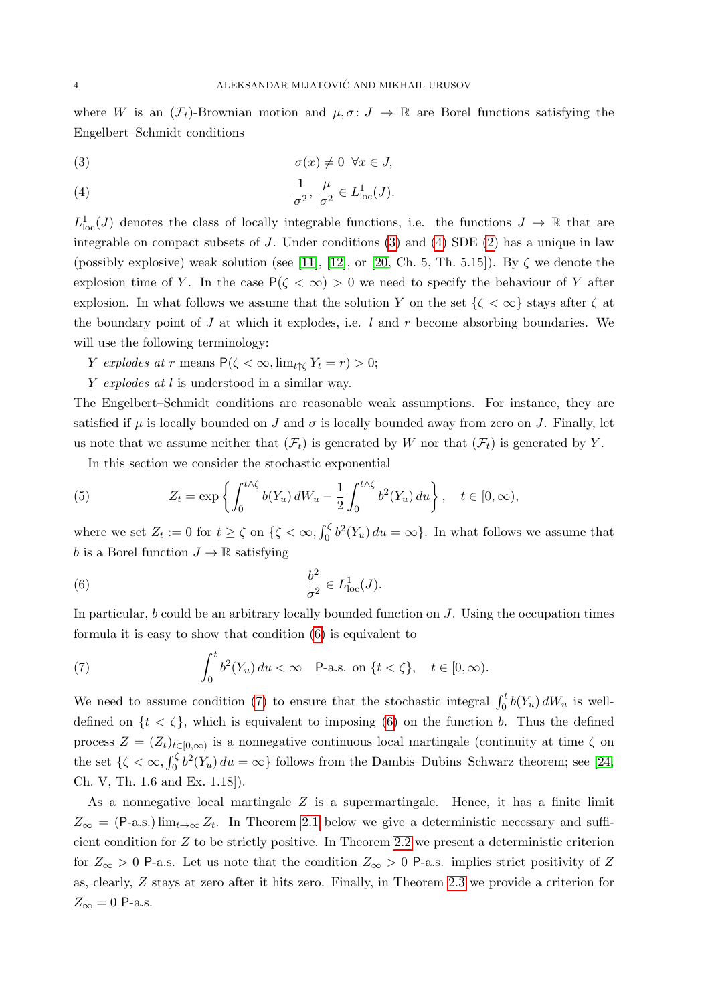where W is an  $(\mathcal{F}_t)$ -Brownian motion and  $\mu, \sigma: J \to \mathbb{R}$  are Borel functions satisfying the Engelbert–Schmidt conditions

<span id="page-3-1"></span>
$$
\sigma(x) \neq 0 \quad \forall x \in J,
$$

<span id="page-3-2"></span>(4) 
$$
\frac{1}{\sigma^2}, \frac{\mu}{\sigma^2} \in L^1_{loc}(J).
$$

 $L^1_{loc}(J)$  denotes the class of locally integrable functions, i.e. the functions  $J \to \mathbb{R}$  that are integrable on compact subsets of J. Under conditions [\(3\)](#page-3-1) and [\(4\)](#page-3-2) SDE [\(2\)](#page-2-1) has a unique in law (possibly explosive) weak solution (see [\[11\]](#page-18-6), [\[12\]](#page-18-7), or [\[20,](#page-19-9) Ch. 5, Th. 5.15]). By  $\zeta$  we denote the explosion time of Y. In the case  $P(\zeta < \infty) > 0$  we need to specify the behaviour of Y after explosion. In what follows we assume that the solution Y on the set  $\{\zeta < \infty\}$  stays after  $\zeta$  at the boundary point of  $J$  at which it explodes, i.e.  $l$  and  $r$  become absorbing boundaries. We will use the following terminology:

- Y explodes at r means  $P(\zeta < \infty, \lim_{t \uparrow \zeta} Y_t = r) > 0;$
- Y explodes at l is understood in a similar way.

The Engelbert–Schmidt conditions are reasonable weak assumptions. For instance, they are satisfied if  $\mu$  is locally bounded on J and  $\sigma$  is locally bounded away from zero on J. Finally, let us note that we assume neither that  $(\mathcal{F}_t)$  is generated by W nor that  $(\mathcal{F}_t)$  is generated by Y.

<span id="page-3-0"></span>In this section we consider the stochastic exponential

(5) 
$$
Z_t = \exp\left\{ \int_0^{t\wedge\zeta} b(Y_u) dW_u - \frac{1}{2} \int_0^{t\wedge\zeta} b^2(Y_u) du \right\}, \quad t \in [0, \infty),
$$

where we set  $Z_t := 0$  for  $t \ge \zeta$  on  $\{\zeta < \infty, \int_0^{\zeta} b^2(Y_u) du = \infty\}$ . In what follows we assume that b is a Borel function  $J \to \mathbb{R}$  satisfying

<span id="page-3-3"></span>(6) 
$$
\frac{b^2}{\sigma^2} \in L^1_{\text{loc}}(J).
$$

In particular,  $b$  could be an arbitrary locally bounded function on  $J$ . Using the occupation times formula it is easy to show that condition [\(6\)](#page-3-3) is equivalent to

<span id="page-3-4"></span>(7) 
$$
\int_0^t b^2(Y_u) du < \infty \quad \text{P-a.s. on } \{t < \zeta\}, \quad t \in [0, \infty).
$$

We need to assume condition [\(7\)](#page-3-4) to ensure that the stochastic integral  $\int_0^t b(Y_u) dW_u$  is welldefined on  $\{t < \zeta\}$ , which is equivalent to imposing [\(6\)](#page-3-3) on the function b. Thus the defined process  $Z = (Z_t)_{t \in [0,\infty)}$  is a nonnegative continuous local martingale (continuity at time  $\zeta$  on the set  $\{\zeta < \infty, \int_0^{\zeta} b^2(Y_u) du = \infty\}$  follows from the Dambis–Dubins–Schwarz theorem; see [\[24,](#page-19-10) Ch. V, Th. 1.6 and Ex. 1.18]).

As a nonnegative local martingale  $Z$  is a supermartingale. Hence, it has a finite limit  $Z_{\infty} = (P-a.s.)\lim_{t\to\infty} Z_t$ . In Theorem [2.1](#page-4-0) below we give a deterministic necessary and sufficient condition for Z to be strictly positive. In Theorem [2.2](#page-4-1) we present a deterministic criterion for  $Z_{\infty} > 0$  P-a.s. Let us note that the condition  $Z_{\infty} > 0$  P-a.s. implies strict positivity of Z as, clearly, Z stays at zero after it hits zero. Finally, in Theorem [2.3](#page-5-0) we provide a criterion for  $Z_{\infty} = 0$  P-a.s.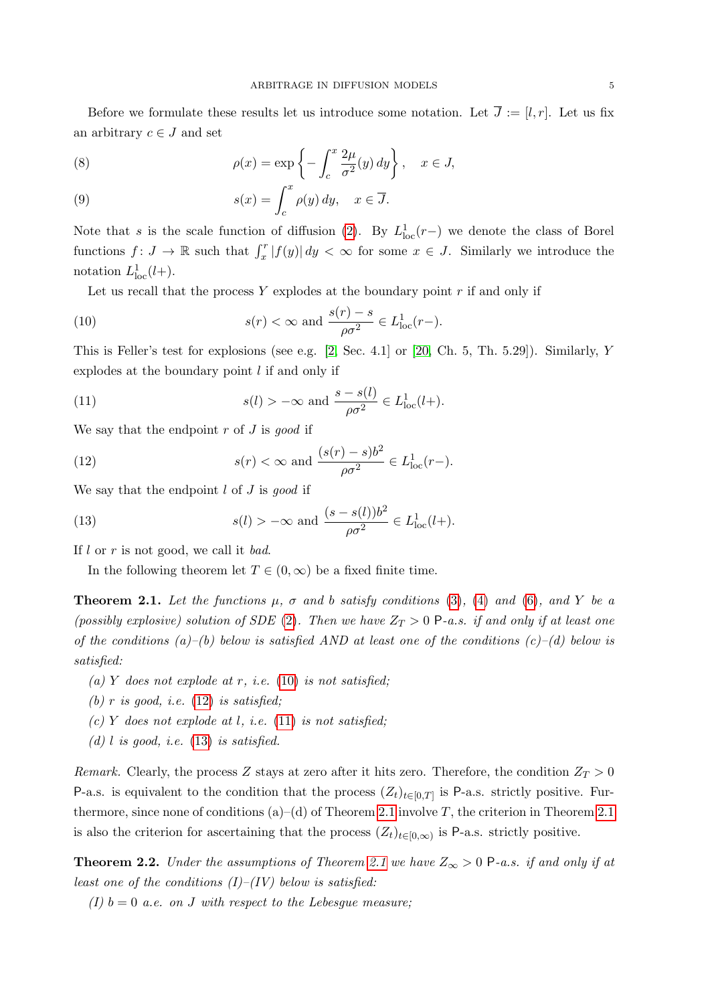Before we formulate these results let us introduce some notation. Let  $\overline{J} := [l, r]$ . Let us fix an arbitrary  $c \in J$  and set

<span id="page-4-6"></span>(8) 
$$
\rho(x) = \exp\left\{-\int_c^x \frac{2\mu}{\sigma^2}(y) dy\right\}, \quad x \in J,
$$

<span id="page-4-7"></span>(9) 
$$
s(x) = \int_{c}^{x} \rho(y) dy, \quad x \in \overline{J}.
$$

Note that s is the scale function of diffusion [\(2\)](#page-2-1). By  $L^1_{loc}(r-)$  we denote the class of Borel functions  $f: J \to \mathbb{R}$  such that  $\int_x^r |f(y)| dy < \infty$  for some  $x \in J$ . Similarly we introduce the notation  $L^1_{\text{loc}}(l+).$ 

<span id="page-4-2"></span>Let us recall that the process  $Y$  explodes at the boundary point  $r$  if and only if

(10) 
$$
s(r) < \infty \text{ and } \frac{s(r) - s}{\rho \sigma^2} \in L^1_{loc}(r-).
$$

This is Feller's test for explosions (see e.g.  $[2, \text{Sec. } 4.1]$  $[2, \text{Sec. } 4.1]$  or  $[20, \text{Ch. } 5, \text{Th. } 5.29]$  $[20, \text{Ch. } 5, \text{Th. } 5.29]$ ). Similarly, Y explodes at the boundary point  $l$  if and only if

<span id="page-4-4"></span>(11) 
$$
s(l) > -\infty \text{ and } \frac{s - s(l)}{\rho \sigma^2} \in L^1_{loc}(l+).
$$

We say that the endpoint  $r$  of  $J$  is good if

<span id="page-4-3"></span>(12) 
$$
s(r) < \infty \text{ and } \frac{(s(r) - s)b^2}{\rho \sigma^2} \in L^1_{loc}(r-).
$$

We say that the endpoint  $l$  of  $J$  is good if

(13) 
$$
s(l) > -\infty
$$
 and  $\frac{(s - s(l))b^2}{\rho \sigma^2} \in L^1_{loc}(l+).$ 

If  $l$  or  $r$  is not good, we call it bad.

<span id="page-4-5"></span>In the following theorem let  $T \in (0, \infty)$  be a fixed finite time.

<span id="page-4-0"></span>**Theorem 2.1.** Let the functions  $\mu$ ,  $\sigma$  and b satisfy conditions [\(3\)](#page-3-1), [\(4\)](#page-3-2) and [\(6\)](#page-3-3), and Y be a (possibly explosive) solution of SDE [\(2\)](#page-2-1). Then we have  $Z_T > 0$  P-a.s. if and only if at least one of the conditions (a)–(b) below is satisfied AND at least one of the conditions  $(c)$ –(d) below is satisfied:

- (a) Y does not explode at r, i.e. [\(10\)](#page-4-2) is not satisfied;
- (b) r is good, i.e.  $(12)$  is satisfied;
- (c) Y does not explode at l, i.e.  $(11)$  is not satisfied;
- (d) l is good, i.e.  $(13)$  is satisfied.

Remark. Clearly, the process Z stays at zero after it hits zero. Therefore, the condition  $Z_T > 0$ P-a.s. is equivalent to the condition that the process  $(Z_t)_{t\in[0,T]}$  is P-a.s. strictly positive. Furthermore, since none of conditions  $(a)$ – $(d)$  of Theorem [2.1](#page-4-0) involve T, the criterion in Theorem 2.1 is also the criterion for ascertaining that the process  $(Z_t)_{t\in[0,\infty)}$  is P-a.s. strictly positive.

<span id="page-4-1"></span>**Theorem 2.2.** Under the assumptions of Theorem [2.1](#page-4-0) we have  $Z_{\infty} > 0$  P-a.s. if and only if at least one of the conditions  $(I)$ – $(IV)$  below is satisfied:

(I)  $b = 0$  a.e. on J with respect to the Lebesgue measure;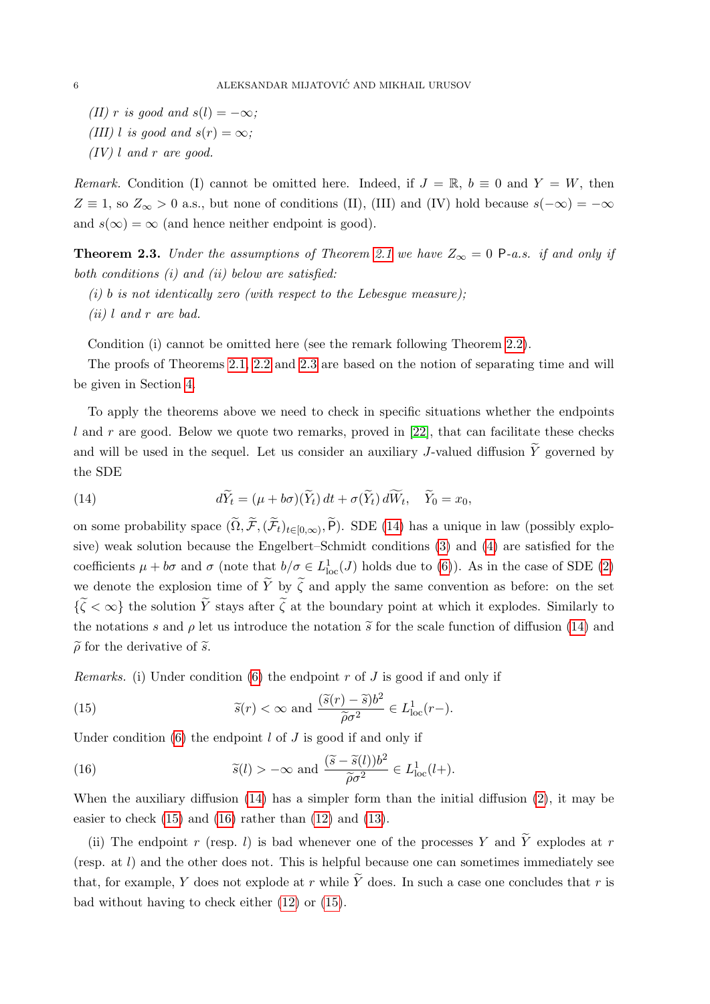(II) r is good and  $s(l) = -\infty$ ; (III) l is good and  $s(r) = \infty$ ;

 $(IV)$  l and r are good.

Remark. Condition (I) cannot be omitted here. Indeed, if  $J = \mathbb{R}$ ,  $b \equiv 0$  and  $Y = W$ , then  $Z \equiv 1$ , so  $Z_{\infty} > 0$  a.s., but none of conditions (II), (III) and (IV) hold because  $s(-\infty) = -\infty$ and  $s(\infty) = \infty$  (and hence neither endpoint is good).

<span id="page-5-0"></span>**Theorem 2.3.** Under the assumptions of Theorem [2.1](#page-4-0) we have  $Z_{\infty} = 0$  P-a.s. if and only if both conditions (i) and (ii) below are satisfied:

- (i) b is not identically zero (with respect to the Lebesgue measure);
- (ii) l and r are bad.

Condition (i) cannot be omitted here (see the remark following Theorem [2.2\)](#page-4-1).

The proofs of Theorems [2.1,](#page-4-0) [2.2](#page-4-1) and [2.3](#page-5-0) are based on the notion of separating time and will be given in Section [4.](#page-16-0)

To apply the theorems above we need to check in specific situations whether the endpoints l and r are good. Below we quote two remarks, proved in  $[22]$ , that can facilitate these checks and will be used in the sequel. Let us consider an auxiliary J-valued diffusion  $\widetilde{Y}$  governed by the SDE

<span id="page-5-1"></span>(14) 
$$
d\widetilde{Y}_t = (\mu + b\sigma)(\widetilde{Y}_t) dt + \sigma(\widetilde{Y}_t) d\widetilde{W}_t, \quad \widetilde{Y}_0 = x_0,
$$

on some probability space  $(\Omega, \mathcal{F}, (\mathcal{F}_t)_{t\in[0,\infty)}, P)$ . SDE [\(14\)](#page-5-1) has a unique in law (possibly explosive) weak solution because the Engelbert–Schmidt conditions [\(3\)](#page-3-1) and [\(4\)](#page-3-2) are satisfied for the coefficients  $\mu + b\sigma$  and  $\sigma$  (note that  $b/\sigma \in L^1_{loc}(J)$  holds due to [\(6\)](#page-3-3)). As in the case of SDE [\(2\)](#page-2-1) we denote the explosion time of  $\tilde{Y}$  by  $\tilde{\zeta}$  and apply the same convention as before: on the set  $\{\widetilde{\zeta} < \infty\}$  the solution  $\widetilde{Y}$  stays after  $\widetilde{\zeta}$  at the boundary point at which it explodes. Similarly to the notations s and  $\rho$  let us introduce the notation  $\tilde{s}$  for the scale function of diffusion [\(14\)](#page-5-1) and  $\tilde{\rho}$  for the derivative of  $\tilde{s}$ .

*Remarks.* (i) Under condition [\(6\)](#page-3-3) the endpoint  $r$  of  $J$  is good if and only if

<span id="page-5-2"></span>(15) 
$$
\widetilde{s}(r) < \infty
$$
 and  $\frac{(\widetilde{s}(r) - \widetilde{s})b^2}{\widetilde{\rho}\sigma^2} \in L^1_{loc}(r-).$ 

Under condition  $(6)$  the endpoint l of J is good if and only if

<span id="page-5-3"></span>(16) 
$$
\widetilde{s}(l) > -\infty
$$
 and  $\frac{(\widetilde{s} - \widetilde{s}(l))b^2}{\widetilde{\rho}\sigma^2} \in L^1_{loc}(l+).$ 

When the auxiliary diffusion [\(14\)](#page-5-1) has a simpler form than the initial diffusion [\(2\)](#page-2-1), it may be easier to check  $(15)$  and  $(16)$  rather than  $(12)$  and  $(13)$ .

(ii) The endpoint r (resp. l) is bad whenever one of the processes Y and  $\tilde{Y}$  explodes at r (resp. at l) and the other does not. This is helpful because one can sometimes immediately see that, for example, Y does not explode at r while  $\widetilde{Y}$  does. In such a case one concludes that r is bad without having to check either [\(12\)](#page-4-3) or [\(15\)](#page-5-2).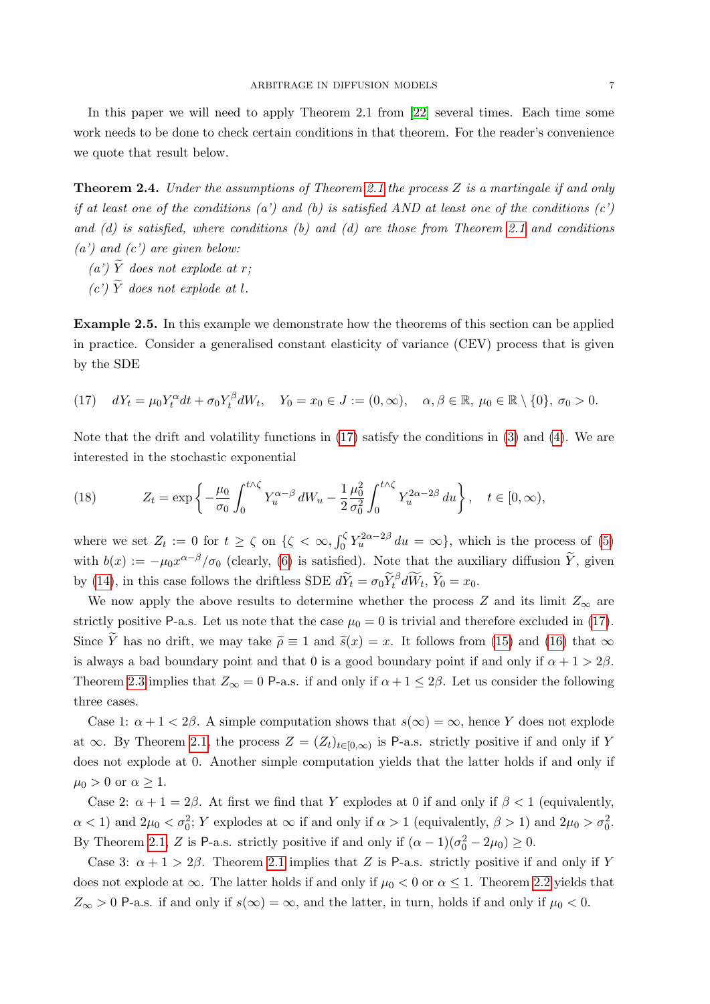In this paper we will need to apply Theorem 2.1 from [\[22\]](#page-19-7) several times. Each time some work needs to be done to check certain conditions in that theorem. For the reader's convenience we quote that result below.

<span id="page-6-2"></span>Theorem 2.4. Under the assumptions of Theorem [2.1](#page-4-0) the process Z is a martingale if and only if at least one of the conditions (a') and (b) is satisfied AND at least one of the conditions (c') and  $(d)$  is satisfied, where conditions  $(b)$  and  $(d)$  are those from Theorem [2.1](#page-4-0) and conditions  $(a')$  and  $(c')$  are given below:

- (a')  $\widetilde{Y}$  does not explode at r:
- (c')  $\widetilde{Y}$  does not explode at l.

<span id="page-6-1"></span>Example 2.5. In this example we demonstrate how the theorems of this section can be applied in practice. Consider a generalised constant elasticity of variance (CEV) process that is given by the SDE

<span id="page-6-0"></span>
$$
(17) \quad dY_t = \mu_0 Y_t^{\alpha} dt + \sigma_0 Y_t^{\beta} dW_t, \quad Y_0 = x_0 \in J := (0, \infty), \quad \alpha, \beta \in \mathbb{R}, \mu_0 \in \mathbb{R} \setminus \{0\}, \sigma_0 > 0.
$$

Note that the drift and volatility functions in [\(17\)](#page-6-0) satisfy the conditions in [\(3\)](#page-3-1) and [\(4\)](#page-3-2). We are interested in the stochastic exponential

(18) 
$$
Z_t = \exp\left\{-\frac{\mu_0}{\sigma_0} \int_0^{t\wedge\zeta} Y_u^{\alpha-\beta} dW_u - \frac{1}{2} \frac{\mu_0^2}{\sigma_0^2} \int_0^{t\wedge\zeta} Y_u^{2\alpha-2\beta} du \right\}, \quad t \in [0, \infty),
$$

where we set  $Z_t := 0$  for  $t \ge \zeta$  on  $\{\zeta < \infty, \int_0^\zeta Y_u^{2\alpha - 2\beta} du = \infty\}$ , which is the process of [\(5\)](#page-3-0) with  $b(x) := -\mu_0 x^{\alpha-\beta}/\sigma_0$  (clearly, [\(6\)](#page-3-3) is satisfied). Note that the auxiliary diffusion  $\widetilde{Y}$ , given by [\(14\)](#page-5-1), in this case follows the driftless SDE  $d\widetilde{Y}_t = \sigma_0 \widetilde{Y}_t^{\beta} d\widetilde{W}_t$ ,  $\widetilde{Y}_0 = x_0$ .

We now apply the above results to determine whether the process Z and its limit  $Z_{\infty}$  are strictly positive P-a.s. Let us note that the case  $\mu_0 = 0$  is trivial and therefore excluded in [\(17\)](#page-6-0). Since  $\widetilde{Y}$  has no drift, we may take  $\widetilde{\rho} \equiv 1$  and  $\widetilde{s}(x) = x$ . It follows from [\(15\)](#page-5-2) and [\(16\)](#page-5-3) that  $\infty$ is always a bad boundary point and that 0 is a good boundary point if and only if  $\alpha + 1 > 2\beta$ . Theorem [2.3](#page-5-0) implies that  $Z_{\infty} = 0$  P-a.s. if and only if  $\alpha + 1 \leq 2\beta$ . Let us consider the following three cases.

Case 1:  $\alpha + 1 < 2\beta$ . A simple computation shows that  $s(\infty) = \infty$ , hence Y does not explode at  $\infty$ . By Theorem [2.1,](#page-4-0) the process  $Z = (Z_t)_{t \in [0,\infty)}$  is P-a.s. strictly positive if and only if Y does not explode at 0. Another simple computation yields that the latter holds if and only if  $\mu_0 > 0$  or  $\alpha \geq 1$ .

Case 2:  $\alpha + 1 = 2\beta$ . At first we find that Y explodes at 0 if and only if  $\beta < 1$  (equivalently,  $\alpha$  < 1) and  $2\mu_0 < \sigma_0^2$ ; Y explodes at  $\infty$  if and only if  $\alpha > 1$  (equivalently,  $\beta > 1$ ) and  $2\mu_0 > \sigma_0^2$ . By Theorem [2.1,](#page-4-0) Z is P-a.s. strictly positive if and only if  $(\alpha - 1)(\sigma_0^2 - 2\mu_0) \ge 0$ .

Case 3:  $\alpha + 1 > 2\beta$ . Theorem [2.1](#page-4-0) implies that Z is P-a.s. strictly positive if and only if Y does not explode at  $\infty$ . The latter holds if and only if  $\mu_0 < 0$  or  $\alpha \leq 1$ . Theorem [2.2](#page-4-1) yields that  $Z_{\infty} > 0$  P-a.s. if and only if  $s(\infty) = \infty$ , and the latter, in turn, holds if and only if  $\mu_0 < 0$ .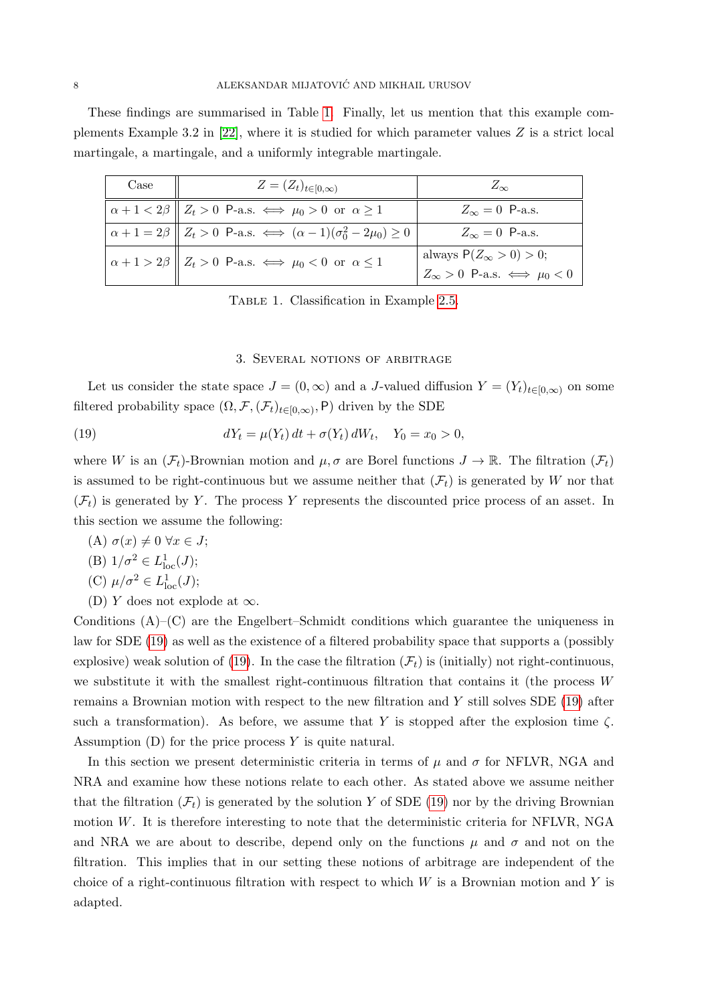These findings are summarised in Table [1.](#page-7-1) Finally, let us mention that this example complements Example 3.2 in  $[22]$ , where it is studied for which parameter values Z is a strict local martingale, a martingale, and a uniformly integrable martingale.

| Case | $Z = (Z_t)_{t \in [0,\infty)}$                                                                | $Z_{\infty}$                                                                 |
|------|-----------------------------------------------------------------------------------------------|------------------------------------------------------------------------------|
|      | $\alpha + 1 < 2\beta \parallel Z_t > 0$ P-a.s. $\iff \mu_0 > 0$ or $\alpha \ge 1$             | $Z_{\infty}=0$ P-a.s.                                                        |
|      | $\alpha + 1 = 2\beta \parallel Z_t > 0$ P-a.s. $\iff (\alpha - 1)(\sigma_0^2 - 2\mu_0) \ge 0$ | $Z_{\infty}=0$ P-a.s.                                                        |
|      | $\alpha + 1 > 2\beta$ $Z_t > 0$ P-a.s. $\iff \mu_0 < 0$ or $\alpha \le 1$                     | always $P(Z_{\infty} > 0) > 0$ ;<br>$Z_{\infty} > 0$ P-a.s. $\iff \mu_0 < 0$ |

<span id="page-7-1"></span>TABLE 1. Classification in Example [2.5.](#page-6-1)

## <span id="page-7-2"></span>3. Several notions of arbitrage

<span id="page-7-0"></span>Let us consider the state space  $J = (0, \infty)$  and a J-valued diffusion  $Y = (Y_t)_{t \in [0,\infty)}$  on some filtered probability space  $(\Omega, \mathcal{F}, (\mathcal{F}_t)_{t \in [0,\infty)}, \mathsf{P})$  driven by the SDE

(19) 
$$
dY_t = \mu(Y_t) dt + \sigma(Y_t) dW_t, \quad Y_0 = x_0 > 0,
$$

where W is an  $(\mathcal{F}_t)$ -Brownian motion and  $\mu, \sigma$  are Borel functions  $J \to \mathbb{R}$ . The filtration  $(\mathcal{F}_t)$ is assumed to be right-continuous but we assume neither that  $(\mathcal{F}_t)$  is generated by W nor that  $(\mathcal{F}_t)$  is generated by Y. The process Y represents the discounted price process of an asset. In this section we assume the following:

- (A)  $\sigma(x) \neq 0 \ \forall x \in J;$
- (B)  $1/\sigma^2 \in L^1_{loc}(J);$

(C) 
$$
\mu/\sigma^2 \in L^1_{loc}(J);
$$

(D) Y does not explode at  $\infty$ .

Conditions  $(A)$ – $(C)$  are the Engelbert–Schmidt conditions which guarantee the uniqueness in law for SDE [\(19\)](#page-7-2) as well as the existence of a filtered probability space that supports a (possibly explosive) weak solution of [\(19\)](#page-7-2). In the case the filtration  $(\mathcal{F}_t)$  is (initially) not right-continuous, we substitute it with the smallest right-continuous filtration that contains it (the process  $W$ remains a Brownian motion with respect to the new filtration and Y still solves SDE [\(19\)](#page-7-2) after such a transformation). As before, we assume that Y is stopped after the explosion time  $\zeta$ . Assumption  $(D)$  for the price process Y is quite natural.

In this section we present deterministic criteria in terms of  $\mu$  and  $\sigma$  for NFLVR, NGA and NRA and examine how these notions relate to each other. As stated above we assume neither that the filtration  $(\mathcal{F}_t)$  is generated by the solution Y of SDE [\(19\)](#page-7-2) nor by the driving Brownian motion W. It is therefore interesting to note that the deterministic criteria for NFLVR, NGA and NRA we are about to describe, depend only on the functions  $\mu$  and  $\sigma$  and not on the filtration. This implies that in our setting these notions of arbitrage are independent of the choice of a right-continuous filtration with respect to which  $W$  is a Brownian motion and Y is adapted.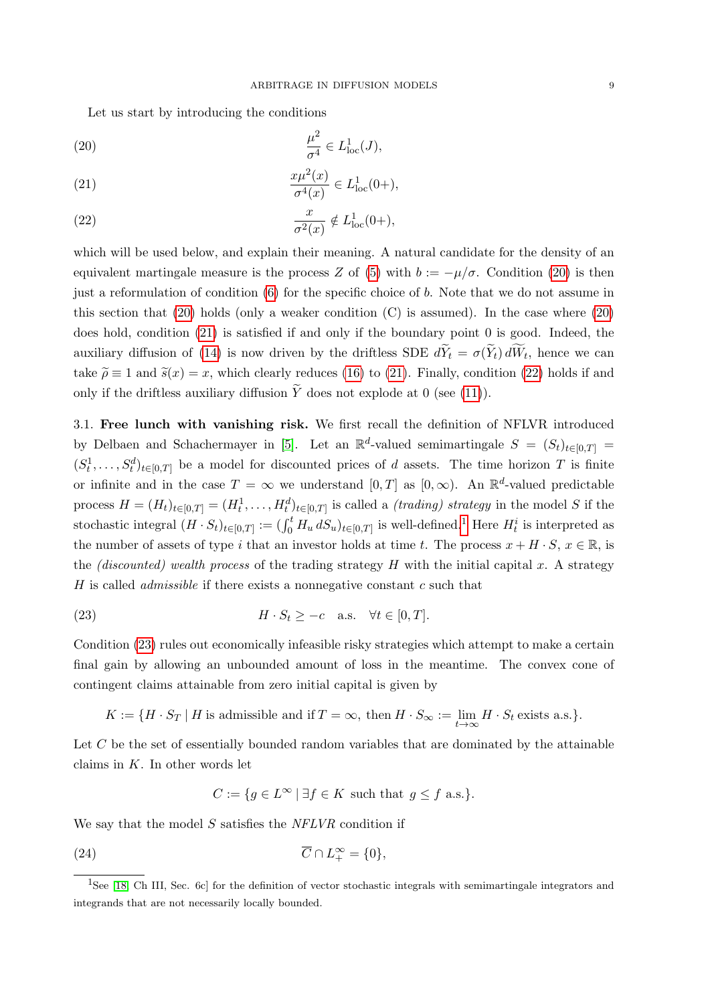Let us start by introducing the conditions

<span id="page-8-1"></span>(20) 
$$
\frac{\mu^2}{\sigma^4} \in L^1_{\text{loc}}(J),
$$

<span id="page-8-2"></span>(21) 
$$
\frac{x\mu^{2}(x)}{\sigma^{4}(x)} \in L_{\text{loc}}^{1}(0+),
$$

<span id="page-8-3"></span>(22) 
$$
\frac{x}{\sigma^2(x)} \notin L^1_{\text{loc}}(0+),
$$

which will be used below, and explain their meaning. A natural candidate for the density of an equivalent martingale measure is the process Z of [\(5\)](#page-3-0) with  $b := -\mu/\sigma$ . Condition [\(20\)](#page-8-1) is then just a reformulation of condition [\(6\)](#page-3-3) for the specific choice of b. Note that we do not assume in this section that  $(20)$  holds (only a weaker condition  $(C)$  is assumed). In the case where  $(20)$ does hold, condition [\(21\)](#page-8-2) is satisfied if and only if the boundary point 0 is good. Indeed, the auxiliary diffusion of [\(14\)](#page-5-1) is now driven by the driftless SDE  $dY_t = \sigma(Y_t) dW_t$ , hence we can take  $\tilde{\rho} \equiv 1$  and  $\tilde{s}(x) = x$ , which clearly reduces [\(16\)](#page-5-3) to [\(21\)](#page-8-2). Finally, condition [\(22\)](#page-8-3) holds if and only if the driftless auxiliary diffusion  $\widetilde{Y}$  does not explode at 0 (see [\(11\)](#page-4-4)).

<span id="page-8-0"></span>3.1. Free lunch with vanishing risk. We first recall the definition of NFLVR introduced by Delbaen and Schachermayer in [\[5\]](#page-18-0). Let an  $\mathbb{R}^d$ -valued semimartingale  $S = (S_t)_{t \in [0,T]}$  $(S_t^1, \ldots, S_t^d)_{t \in [0,T]}$  be a model for discounted prices of d assets. The time horizon T is finite or infinite and in the case  $T = \infty$  we understand  $[0, T]$  as  $[0, \infty)$ . An  $\mathbb{R}^d$ -valued predictable process  $H = (H_t)_{t \in [0,T]} = (H_t^1, \ldots, H_t^d)_{t \in [0,T]}$  is called a *(trading) strategy* in the model S if the stochastic integral  $(H \cdot S_t)_{t \in [0,T]} := (\int_0^t H_u \, dS_u)_{t \in [0,T]}$  is well-defined.<sup>[1](#page-8-4)</sup> Here  $H_t^i$  is interpreted as the number of assets of type i that an investor holds at time t. The process  $x + H \cdot S$ ,  $x \in \mathbb{R}$ , is the *(discounted)* wealth process of the trading strategy H with the initial capital x. A strategy H is called *admissible* if there exists a nonnegative constant  $c$  such that

<span id="page-8-5"></span>(23) 
$$
H \cdot S_t \geq -c \quad \text{a.s.} \quad \forall t \in [0, T].
$$

Condition [\(23\)](#page-8-5) rules out economically infeasible risky strategies which attempt to make a certain final gain by allowing an unbounded amount of loss in the meantime. The convex cone of contingent claims attainable from zero initial capital is given by

$$
K := \{ H \cdot S_T \mid H \text{ is admissible and if } T = \infty, \text{ then } H \cdot S_{\infty} := \lim_{t \to \infty} H \cdot S_t \text{ exists a.s.} \}.
$$

Let  $C$  be the set of essentially bounded random variables that are dominated by the attainable claims in  $K$ . In other words let

<span id="page-8-6"></span>
$$
C := \{ g \in L^{\infty} \mid \exists f \in K \text{ such that } g \le f \text{ a.s.} \}.
$$

We say that the model  $S$  satisfies the  $NFLVR$  condition if

(24) 
$$
\overline{C} \cap L_+^{\infty} = \{0\},
$$

<span id="page-8-4"></span><sup>&</sup>lt;sup>1</sup>See [\[18,](#page-19-11) Ch III, Sec. 6c] for the definition of vector stochastic integrals with semimartingale integrators and integrands that are not necessarily locally bounded.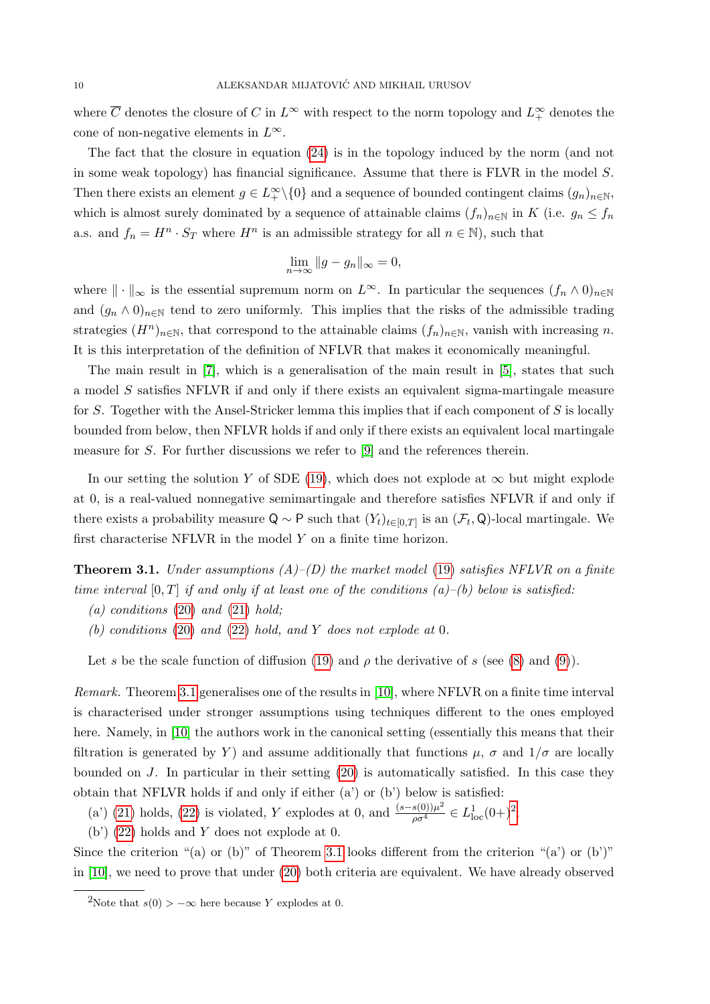where  $\overline{C}$  denotes the closure of C in  $L^{\infty}$  with respect to the norm topology and  $L^{\infty}_+$  denotes the cone of non-negative elements in  $L^{\infty}$ .

The fact that the closure in equation [\(24\)](#page-8-6) is in the topology induced by the norm (and not in some weak topology) has financial significance. Assume that there is FLVR in the model S. Then there exists an element  $g \in L_+^{\infty} \setminus \{0\}$  and a sequence of bounded contingent claims  $(g_n)_{n \in \mathbb{N}}$ , which is almost surely dominated by a sequence of attainable claims  $(f_n)_{n\in\mathbb{N}}$  in K (i.e.  $g_n \leq f_n$ ) a.s. and  $f_n = H^n \cdot S_T$  where  $H^n$  is an admissible strategy for all  $n \in \mathbb{N}$ ), such that

$$
\lim_{n \to \infty} \|g - g_n\|_{\infty} = 0,
$$

where  $\|\cdot\|_{\infty}$  is the essential supremum norm on  $L^{\infty}$ . In particular the sequences  $(f_n \wedge 0)_{n\in\mathbb{N}}$ and  $(g_n \wedge 0)_{n \in \mathbb{N}}$  tend to zero uniformly. This implies that the risks of the admissible trading strategies  $(H^n)_{n\in\mathbb{N}}$ , that correspond to the attainable claims  $(f_n)_{n\in\mathbb{N}}$ , vanish with increasing n. It is this interpretation of the definition of NFLVR that makes it economically meaningful.

The main result in [\[7\]](#page-18-1), which is a generalisation of the main result in [\[5\]](#page-18-0), states that such a model S satisfies NFLVR if and only if there exists an equivalent sigma-martingale measure for S. Together with the Ansel-Stricker lemma this implies that if each component of S is locally bounded from below, then NFLVR holds if and only if there exists an equivalent local martingale measure for S. For further discussions we refer to [\[9\]](#page-18-3) and the references therein.

In our setting the solution Y of SDE [\(19\)](#page-7-2), which does not explode at  $\infty$  but might explode at 0, is a real-valued nonnegative semimartingale and therefore satisfies NFLVR if and only if there exists a probability measure  $Q \sim P$  such that  $(Y_t)_{t \in [0,T]}$  is an  $(\mathcal{F}_t, Q)$ -local martingale. We first characterise NFLVR in the model Y on a finite time horizon.

<span id="page-9-0"></span>**Theorem 3.1.** Under assumptions  $(A)$ – $(D)$  the market model [\(19\)](#page-7-2) satisfies NFLVR on a finite time interval  $[0, T]$  if and only if at least one of the conditions  $(a)$ – $(b)$  below is satisfied:

- $(a)$  conditions  $(20)$  and  $(21)$  hold;
- (b) conditions [\(20\)](#page-8-1) and [\(22\)](#page-8-3) hold, and Y does not explode at 0.

Let s be the scale function of diffusion [\(19\)](#page-7-2) and  $\rho$  the derivative of s (see [\(8\)](#page-4-6) and [\(9\)](#page-4-7)).

Remark. Theorem [3.1](#page-9-0) generalises one of the results in [\[10\]](#page-18-4), where NFLVR on a finite time interval is characterised under stronger assumptions using techniques different to the ones employed here. Namely, in [\[10\]](#page-18-4) the authors work in the canonical setting (essentially this means that their filtration is generated by Y) and assume additionally that functions  $\mu$ ,  $\sigma$  and  $1/\sigma$  are locally bounded on J. In particular in their setting  $(20)$  is automatically satisfied. In this case they obtain that NFLVR holds if and only if either (a') or (b') below is satisfied:

(a') [\(21\)](#page-8-2) holds, [\(22\)](#page-8-3) is violated, Y explodes at 0, and  $\frac{(s-s(0))\mu^2}{\rho\sigma^4} \in L^1_{loc}(0+)^2$  $\frac{(s-s(0))\mu^2}{\rho\sigma^4} \in L^1_{loc}(0+)^2$  $\frac{(s-s(0))\mu^2}{\rho\sigma^4} \in L^1_{loc}(0+)^2$ ;

(b') [\(22\)](#page-8-3) holds and Y does not explode at 0.

Since the criterion "(a) or (b)" of Theorem [3.1](#page-9-0) looks different from the criterion "(a') or (b')" in [\[10\]](#page-18-4), we need to prove that under [\(20\)](#page-8-1) both criteria are equivalent. We have already observed

<span id="page-9-1"></span><sup>&</sup>lt;sup>2</sup>Note that  $s(0) > -\infty$  here because Y explodes at 0.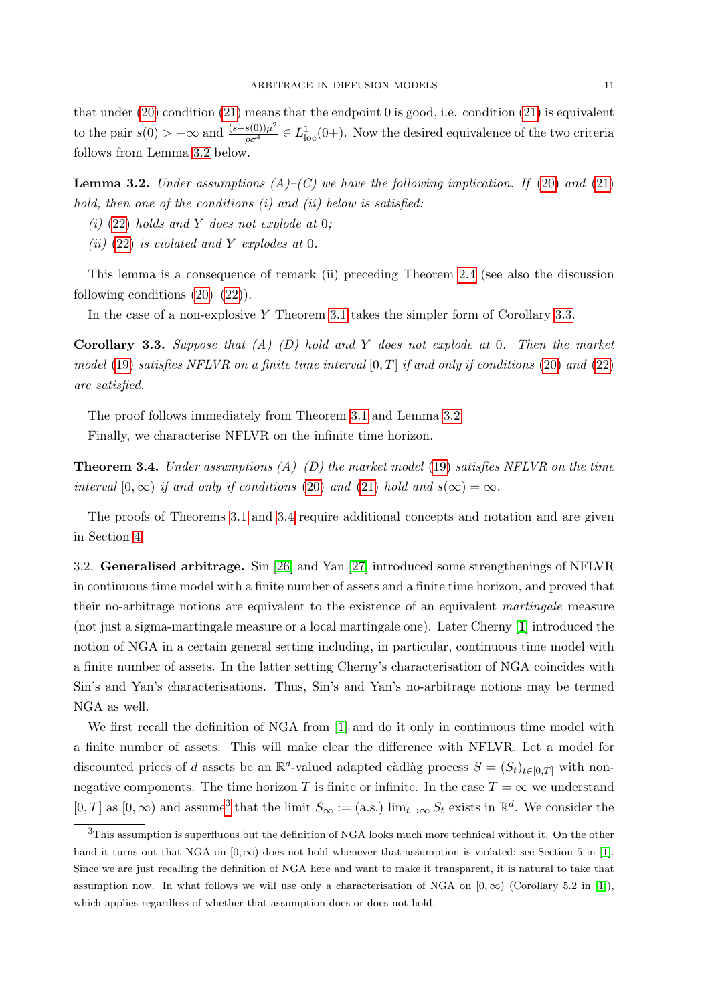that under  $(20)$  condition  $(21)$  means that the endpoint 0 is good, i.e. condition  $(21)$  is equivalent to the pair  $s(0) > -\infty$  and  $\frac{(s-s(0))\mu^2}{\rho \sigma^4} \in L^1_{loc}(0+)$ . Now the desired equivalence of the two criteria follows from Lemma [3.2](#page-10-1) below.

<span id="page-10-1"></span>**Lemma 3.2.** Under assumptions  $(A)$ – $(C)$  we have the following implication. If [\(20\)](#page-8-1) and [\(21\)](#page-8-2) hold, then one of the conditions  $(i)$  and  $(ii)$  below is satisfied:

- (i) [\(22\)](#page-8-3) holds and Y does not explode at 0;
- (ii) [\(22\)](#page-8-3) is violated and Y explodes at 0.

This lemma is a consequence of remark (ii) preceding Theorem [2.4](#page-6-2) (see also the discussion following conditions  $(20)$ – $(22)$ ).

In the case of a non-explosive Y Theorem [3.1](#page-9-0) takes the simpler form of Corollary [3.3.](#page-10-2)

<span id="page-10-2"></span>**Corollary 3.3.** Suppose that  $(A)$ – $(D)$  hold and Y does not explode at 0. Then the market model [\(19\)](#page-7-2) satisfies NFLVR on a finite time interval  $[0, T]$  if and only if conditions [\(20\)](#page-8-1) and [\(22\)](#page-8-3) are satisfied.

The proof follows immediately from Theorem [3.1](#page-9-0) and Lemma [3.2.](#page-10-1) Finally, we characterise NFLVR on the infinite time horizon.

<span id="page-10-3"></span>**Theorem 3.4.** Under assumptions  $(A)$ – $(D)$  the market model [\(19\)](#page-7-2) satisfies NFLVR on the time interval  $[0, \infty)$  if and only if conditions [\(20\)](#page-8-1) and [\(21\)](#page-8-2) hold and  $s(\infty) = \infty$ .

The proofs of Theorems [3.1](#page-9-0) and [3.4](#page-10-3) require additional concepts and notation and are given in Section [4.](#page-16-0)

<span id="page-10-0"></span>3.2. Generalised arbitrage. Sin [\[26\]](#page-19-0) and Yan [\[27\]](#page-19-1) introduced some strengthenings of NFLVR in continuous time model with a finite number of assets and a finite time horizon, and proved that their no-arbitrage notions are equivalent to the existence of an equivalent martingale measure (not just a sigma-martingale measure or a local martingale one). Later Cherny [\[1\]](#page-18-2) introduced the notion of NGA in a certain general setting including, in particular, continuous time model with a finite number of assets. In the latter setting Cherny's characterisation of NGA coincides with Sin's and Yan's characterisations. Thus, Sin's and Yan's no-arbitrage notions may be termed NGA as well.

We first recall the definition of NGA from [\[1\]](#page-18-2) and do it only in continuous time model with a finite number of assets. This will make clear the difference with NFLVR. Let a model for discounted prices of d assets be an  $\mathbb{R}^d$ -valued adapted càdlàg process  $S = (S_t)_{t \in [0,T]}$  with nonnegative components. The time horizon T is finite or infinite. In the case  $T = \infty$  we understand  $[0, T]$  as  $[0, \infty)$  and assume<sup>[3](#page-10-4)</sup> that the limit  $S_{\infty} := (a.s.) \lim_{t \to \infty} S_t$  exists in  $\mathbb{R}^d$ . We consider the

<span id="page-10-4"></span><sup>3</sup>This assumption is superfluous but the definition of NGA looks much more technical without it. On the other hand it turns out that NGA on  $[0, \infty)$  does not hold whenever that assumption is violated; see Section 5 in [\[1\]](#page-18-2). Since we are just recalling the definition of NGA here and want to make it transparent, it is natural to take that assumption now. In what follows we will use only a characterisation of NGA on  $[0, \infty)$  (Corollary 5.2 in [\[1\]](#page-18-2)), which applies regardless of whether that assumption does or does not hold.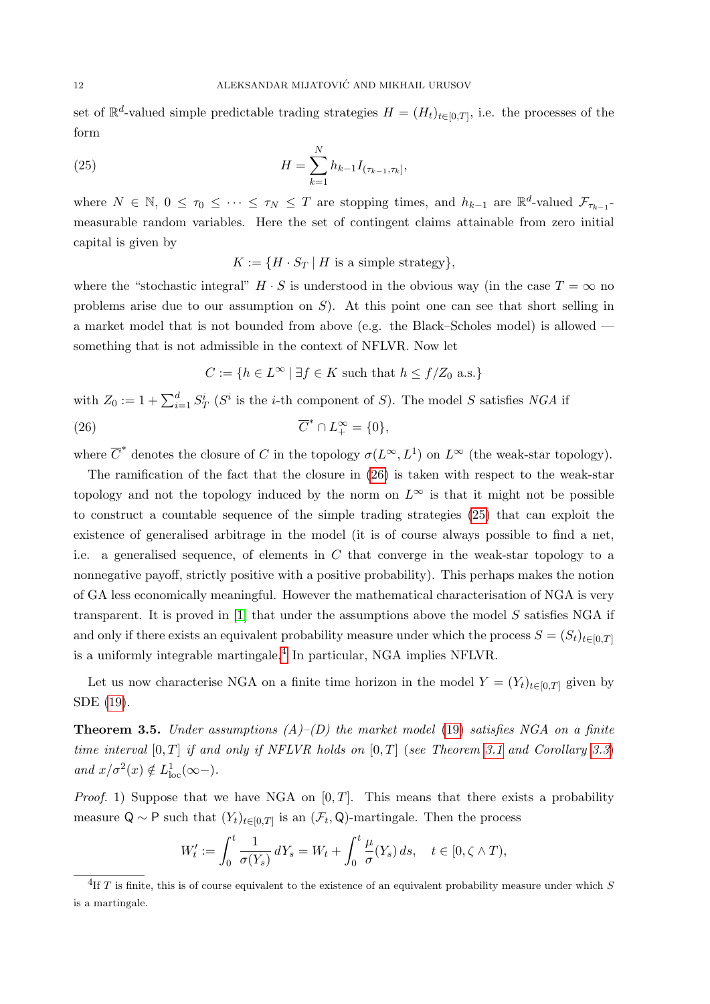set of  $\mathbb{R}^d$ -valued simple predictable trading strategies  $H = (H_t)_{t \in [0,T]}$ , i.e. the processes of the form

(25) 
$$
H = \sum_{k=1}^{N} h_{k-1} I_{(\tau_{k-1}, \tau_k]},
$$

where  $N \in \mathbb{N}$ ,  $0 \leq \tau_0 \leq \cdots \leq \tau_N \leq T$  are stopping times, and  $h_{k-1}$  are  $\mathbb{R}^d$ -valued  $\mathcal{F}_{\tau_{k-1}}$ measurable random variables. Here the set of contingent claims attainable from zero initial capital is given by

<span id="page-11-1"></span> $K := \{H \cdot S_T \mid H \text{ is a simple strategy}\},\$ 

where the "stochastic integral"  $H \cdot S$  is understood in the obvious way (in the case  $T = \infty$  no problems arise due to our assumption on  $S$ ). At this point one can see that short selling in a market model that is not bounded from above (e.g. the Black–Scholes model) is allowed something that is not admissible in the context of NFLVR. Now let

<span id="page-11-0"></span>
$$
C := \{ h \in L^{\infty} \mid \exists f \in K \text{ such that } h \le f/Z_0 \text{ a.s.} \}
$$

with  $Z_0 := 1 + \sum_{i=1}^d S_T^i$  ( $S^i$  is the *i*-th component of S). The model S satisfies NGA if  $(26)$   $\qquad \qquad \overline{C}$ \*  $\cap L_+^{\infty} = \{0\},\,$ 

where  $\overline{C}^*$  denotes the closure of C in the topology  $\sigma(L^{\infty}, L^1)$  on  $L^{\infty}$  (the weak-star topology).

The ramification of the fact that the closure in [\(26\)](#page-11-0) is taken with respect to the weak-star topology and not the topology induced by the norm on  $L^{\infty}$  is that it might not be possible to construct a countable sequence of the simple trading strategies [\(25\)](#page-11-1) that can exploit the existence of generalised arbitrage in the model (it is of course always possible to find a net, i.e. a generalised sequence, of elements in  $C$  that converge in the weak-star topology to a nonnegative payoff, strictly positive with a positive probability). This perhaps makes the notion of GA less economically meaningful. However the mathematical characterisation of NGA is very transparent. It is proved in [\[1\]](#page-18-2) that under the assumptions above the model S satisfies NGA if and only if there exists an equivalent probability measure under which the process  $S = (S_t)_{t \in [0,T]}$ is a uniformly integrable martingale.[4](#page-11-2) In particular, NGA implies NFLVR.

Let us now characterise NGA on a finite time horizon in the model  $Y = (Y_t)_{t \in [0,T]}$  given by SDE [\(19\)](#page-7-2).

<span id="page-11-3"></span>**Theorem 3.5.** Under assumptions  $(A)$ – $(D)$  the market model [\(19\)](#page-7-2) satisfies NGA on a finite time interval  $[0, T]$  if and only if NFLVR holds on  $[0, T]$  (see Theorem [3.1](#page-9-0) and Corollary [3.3](#page-10-2)) and  $x/\sigma^2(x) \notin L^1_{loc}(\infty-)$ .

*Proof.* 1) Suppose that we have NGA on  $[0, T]$ . This means that there exists a probability measure Q ~ P such that  $(Y_t)_{t\in[0,T]}$  is an  $(\mathcal{F}_t, \mathsf{Q})$ -martingale. Then the process

$$
W'_t := \int_0^t \frac{1}{\sigma(Y_s)} dY_s = W_t + \int_0^t \frac{\mu}{\sigma}(Y_s) ds, \quad t \in [0, \zeta \wedge T),
$$

<span id="page-11-2"></span><sup>&</sup>lt;sup>4</sup>If T is finite, this is of course equivalent to the existence of an equivalent probability measure under which S is a martingale.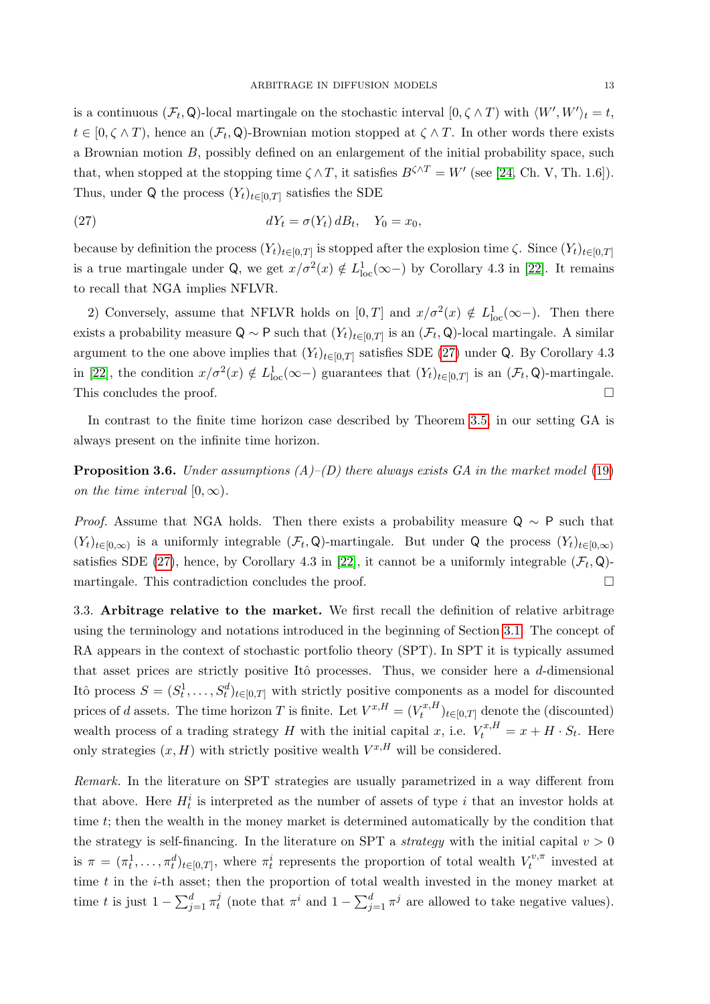is a continuous  $(\mathcal{F}_t, \mathsf{Q})$ -local martingale on the stochastic interval  $[0, \zeta \wedge T)$  with  $\langle W', W' \rangle_t = t$ ,  $t \in [0, \zeta \wedge T)$ , hence an  $(\mathcal{F}_t, \mathsf{Q})$ -Brownian motion stopped at  $\zeta \wedge T$ . In other words there exists a Brownian motion B, possibly defined on an enlargement of the initial probability space, such that, when stopped at the stopping time  $\zeta \wedge T$ , it satisfies  $B^{\zeta \wedge T} = W'$  (see [\[24,](#page-19-10) Ch. V, Th. 1.6]). Thus, under Q the process  $(Y_t)_{t\in[0,T]}$  satisfies the SDE

<span id="page-12-0"></span>(27) 
$$
dY_t = \sigma(Y_t) dB_t, \quad Y_0 = x_0,
$$

because by definition the process  $(Y_t)_{t\in[0,T]}$  is stopped after the explosion time  $\zeta$ . Since  $(Y_t)_{t\in[0,T]}$ is a true martingale under Q, we get  $x/\sigma^2(x) \notin L^1_{loc}(\infty-)$  by Corollary 4.3 in [\[22\]](#page-19-7). It remains to recall that NGA implies NFLVR.

2) Conversely, assume that NFLVR holds on  $[0,T]$  and  $x/\sigma^2(x) \notin L^1_{loc}(\infty-)$ . Then there exists a probability measure Q ~ P such that  $(Y_t)_{t\in[0,T]}$  is an  $(\mathcal{F}_t, \mathsf{Q})$ -local martingale. A similar argument to the one above implies that  $(Y_t)_{t\in[0,T]}$  satisfies SDE [\(27\)](#page-12-0) under Q. By Corollary 4.3 in [\[22\]](#page-19-7), the condition  $x/\sigma^2(x) \notin L^1_{loc}(\infty-)$  guarantees that  $(Y_t)_{t\in[0,T]}$  is an  $(\mathcal{F}_t,\mathsf{Q})$ -martingale. This concludes the proof.  $\Box$ 

In contrast to the finite time horizon case described by Theorem [3.5,](#page-11-3) in our setting GA is always present on the infinite time horizon.

**Proposition 3.6.** Under assumptions  $(A)$ – $(D)$  there always exists GA in the market model [\(19\)](#page-7-2) on the time interval  $[0, \infty)$ .

*Proof.* Assume that NGA holds. Then there exists a probability measure  $Q \sim P$  such that  $(Y_t)_{t\in[0,\infty)}$  is a uniformly integrable  $(\mathcal{F}_t,\mathsf{Q})$ -martingale. But under Q the process  $(Y_t)_{t\in[0,\infty)}$ satisfies SDE [\(27\)](#page-12-0), hence, by Corollary 4.3 in [\[22\]](#page-19-7), it cannot be a uniformly integrable  $(\mathcal{F}_t, \mathsf{Q})$ martingale. This contradiction concludes the proof.  $\Box$ 

3.3. Arbitrage relative to the market. We first recall the definition of relative arbitrage using the terminology and notations introduced in the beginning of Section [3.1.](#page-8-0) The concept of RA appears in the context of stochastic portfolio theory (SPT). In SPT it is typically assumed that asset prices are strictly positive Itô processes. Thus, we consider here a  $d$ -dimensional Itô process  $S = (S_t^1, \ldots, S_t^d)_{t \in [0,T]}$  with strictly positive components as a model for discounted prices of d assets. The time horizon T is finite. Let  $V^{x,H} = (V_t^{x,H})$  $(t_t^{t,x,H})_{t\in[0,T]}$  denote the (discounted) wealth process of a trading strategy H with the initial capital x, i.e.  $V_t^{x,H} = x + H \cdot S_t$ . Here only strategies  $(x, H)$  with strictly positive wealth  $V^{x,H}$  will be considered.

Remark. In the literature on SPT strategies are usually parametrized in a way different from that above. Here  $H_t^i$  is interpreted as the number of assets of type i that an investor holds at time t; then the wealth in the money market is determined automatically by the condition that the strategy is self-financing. In the literature on SPT a *strategy* with the initial capital  $v > 0$ is  $\pi = (\pi_t^1, \ldots, \pi_t^d)_{t \in [0,T]},$  where  $\pi_t^i$  represents the proportion of total wealth  $V_t^{v, \pi}$  $t^{v,\pi}$  invested at time  $t$  in the  $i$ -th asset; then the proportion of total wealth invested in the money market at time t is just  $1 - \sum_{j=1}^d \pi_t^j$  $t_i^j$  (note that  $\pi^i$  and  $1 - \sum_{j=1}^d \pi^j$  are allowed to take negative values).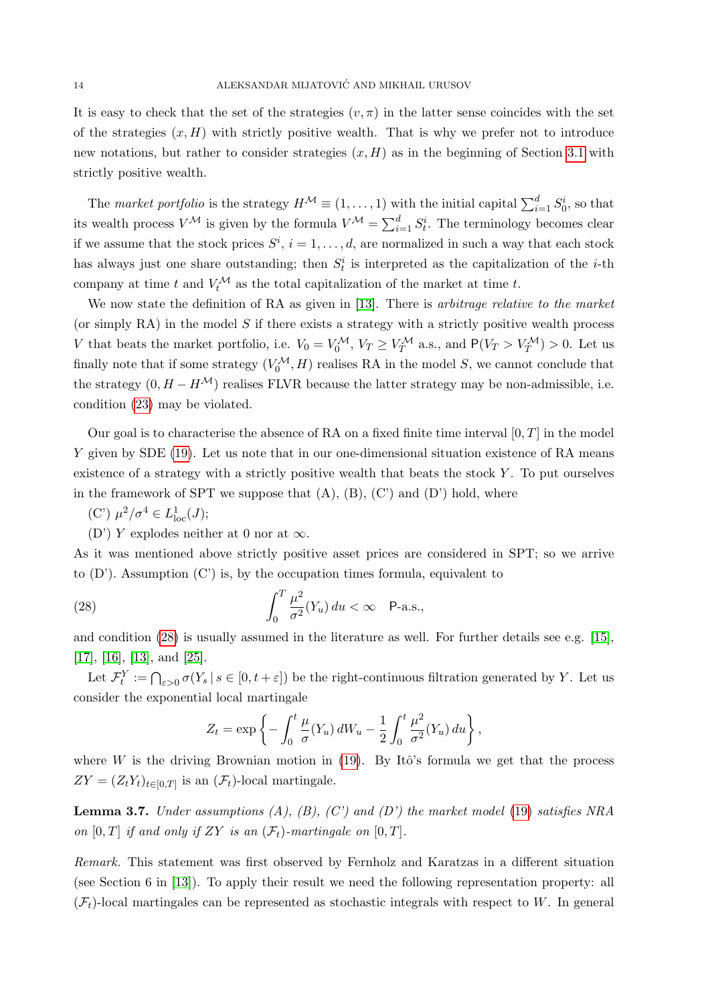It is easy to check that the set of the strategies  $(v, \pi)$  in the latter sense coincides with the set of the strategies  $(x, H)$  with strictly positive wealth. That is why we prefer not to introduce new notations, but rather to consider strategies  $(x, H)$  as in the beginning of Section [3.1](#page-8-0) with strictly positive wealth.

The market portfolio is the strategy  $H^{\mathcal{M}} \equiv (1, \ldots, 1)$  with the initial capital  $\sum_{i=1}^{d} S_0^i$ , so that its wealth process  $V^{\mathcal{M}}$  is given by the formula  $V^{\mathcal{M}} = \sum_{i=1}^{d} S_{t}^{i}$ . The terminology becomes clear if we assume that the stock prices  $S^i$ ,  $i = 1, \ldots, d$ , are normalized in such a way that each stock has always just one share outstanding; then  $S_t^i$  is interpreted as the capitalization of the *i*-th company at time t and  $V_t^{\mathcal{M}}$  as the total capitalization of the market at time t.

We now state the definition of RA as given in [\[13\]](#page-19-12). There is *arbitrage relative to the market* (or simply RA) in the model  $S$  if there exists a strategy with a strictly positive wealth process V that beats the market portfolio, i.e.  $V_0 = V_0^{\mathcal{M}}, V_T \geq V_T^{\mathcal{M}}$  a.s., and  $P(V_T > V_T^{\mathcal{M}}) > 0$ . Let us finally note that if some strategy  $(V_0^{\mathcal{M}}, H)$  realises RA in the model S, we cannot conclude that the strategy  $(0, H - H^{\mathcal{M}})$  realises FLVR because the latter strategy may be non-admissible, i.e. condition [\(23\)](#page-8-5) may be violated.

Our goal is to characterise the absence of RA on a fixed finite time interval  $[0, T]$  in the model Y given by SDE [\(19\)](#page-7-2). Let us note that in our one-dimensional situation existence of RA means existence of a strategy with a strictly positive wealth that beats the stock Y . To put ourselves in the framework of SPT we suppose that  $(A)$ ,  $(B)$ ,  $(C')$  and  $(D')$  hold, where

- (C')  $\mu^2/\sigma^4 \in L^1_{loc}(J);$
- (D') Y explodes neither at 0 nor at  $\infty$ .

As it was mentioned above strictly positive asset prices are considered in SPT; so we arrive to  $(D')$ . Assumption  $(C')$  is, by the occupation times formula, equivalent to

(28) 
$$
\int_0^T \frac{\mu^2}{\sigma^2} (Y_u) du < \infty \quad \text{P-a.s.},
$$

and condition [\(28\)](#page-13-0) is usually assumed in the literature as well. For further details see e.g. [\[15\]](#page-19-13), [\[17\]](#page-19-5), [\[16\]](#page-19-2), [\[13\]](#page-19-12), and [\[25\]](#page-19-6).

Let  $\mathcal{F}_t^Y := \bigcap_{\varepsilon > 0} \sigma(Y_s | s \in [0, t + \varepsilon])$  be the right-continuous filtration generated by Y. Let us consider the exponential local martingale

<span id="page-13-0"></span>
$$
Z_t = \exp\left\{-\int_0^t \frac{\mu}{\sigma}(Y_u) dW_u - \frac{1}{2} \int_0^t \frac{\mu^2}{\sigma^2}(Y_u) du\right\},\,
$$

where W is the driving Brownian motion in  $(19)$ . By Itô's formula we get that the process  $ZY = (Z_t Y_t)_{t \in [0,T]}$  is an  $(\mathcal{F}_t)$ -local martingale.

<span id="page-13-1"></span>**Lemma 3.7.** Under assumptions  $(A)$ ,  $(B)$ ,  $(C')$  and  $(D')$  the market model [\(19\)](#page-7-2) satisfies NRA on  $[0, T]$  if and only if ZY is an  $(\mathcal{F}_t)$ -martingale on  $[0, T]$ .

Remark. This statement was first observed by Fernholz and Karatzas in a different situation (see Section 6 in [\[13\]](#page-19-12)). To apply their result we need the following representation property: all  $(\mathcal{F}_t)$ -local martingales can be represented as stochastic integrals with respect to W. In general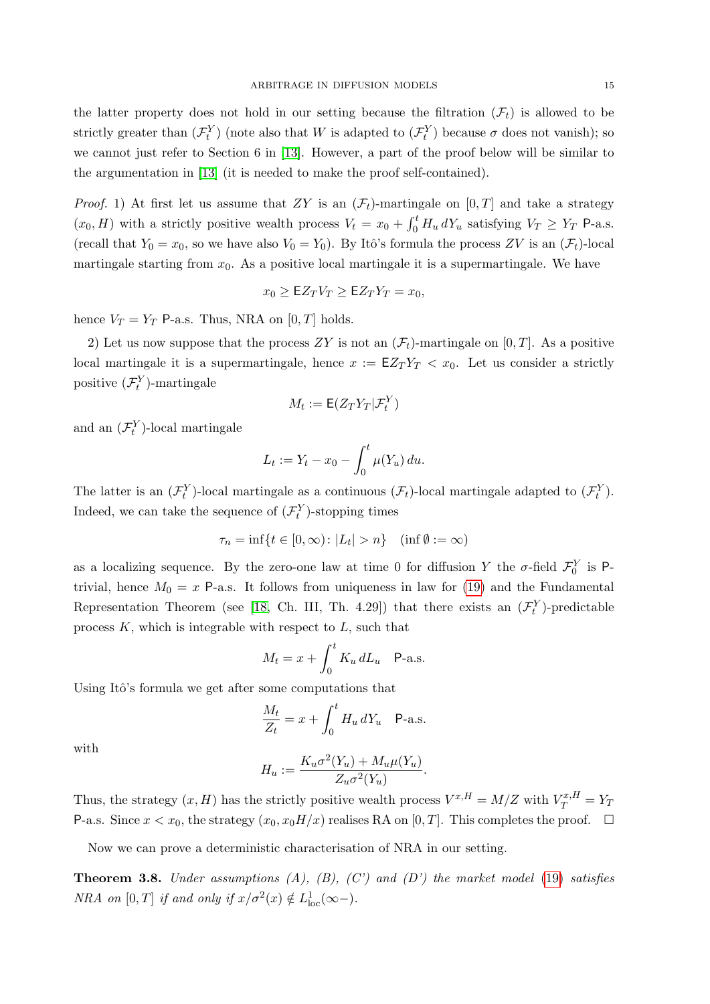the latter property does not hold in our setting because the filtration  $(F_t)$  is allowed to be strictly greater than  $(\mathcal{F}_t^Y)$  (note also that W is adapted to  $(\mathcal{F}_t^Y)$  because  $\sigma$  does not vanish); so we cannot just refer to Section 6 in [\[13\]](#page-19-12). However, a part of the proof below will be similar to the argumentation in [\[13\]](#page-19-12) (it is needed to make the proof self-contained).

*Proof.* 1) At first let us assume that ZY is an  $(\mathcal{F}_t)$ -martingale on  $[0, T]$  and take a strategy  $(x_0, H)$  with a strictly positive wealth process  $V_t = x_0 + \int_0^t H_u dY_u$  satisfying  $V_T \ge Y_T$  P-a.s. (recall that  $Y_0 = x_0$ , so we have also  $V_0 = Y_0$ ). By Itô's formula the process ZV is an  $(\mathcal{F}_t)$ -local martingale starting from  $x_0$ . As a positive local martingale it is a supermartingale. We have

$$
x_0 \geq \mathsf{E} Z_T V_T \geq \mathsf{E} Z_T Y_T = x_0,
$$

hence  $V_T = Y_T$  P-a.s. Thus, NRA on  $[0, T]$  holds.

2) Let us now suppose that the process ZY is not an  $(\mathcal{F}_t)$ -martingale on [0, T]. As a positive local martingale it is a supermartingale, hence  $x := \mathsf{EZ}_T Y_T < x_0$ . Let us consider a strictly positive  $(\mathcal{F}_t^Y)$ -martingale

$$
M_t := \mathsf{E}(Z_T Y_T | \mathcal{F}_t^Y)
$$

and an  $(\mathcal{F}_t^Y)$ -local martingale

$$
L_t := Y_t - x_0 - \int_0^t \mu(Y_u) \, du.
$$

The latter is an  $(\mathcal{F}^Y_t)$ -local martingale as a continuous  $(\mathcal{F}_t)$ -local martingale adapted to  $(\mathcal{F}^Y_t)$ . Indeed, we can take the sequence of  $(\mathcal{F}_t^Y)$ -stopping times

$$
\tau_n = \inf\{t \in [0, \infty) \colon |L_t| > n\} \quad (\inf \emptyset := \infty)
$$

as a localizing sequence. By the zero-one law at time 0 for diffusion Y the  $\sigma$ -field  $\mathcal{F}_0^Y$  is Ptrivial, hence  $M_0 = x$  P-a.s. It follows from uniqueness in law for [\(19\)](#page-7-2) and the Fundamental Representation Theorem (see [\[18,](#page-19-11) Ch. III, Th. 4.29]) that there exists an  $(\mathcal{F}_t^Y)$ -predictable process  $K$ , which is integrable with respect to  $L$ , such that

$$
M_t = x + \int_0^t K_u \, dL_u \quad \text{P-a.s.}
$$

Using Itô's formula we get after some computations that

$$
\frac{M_t}{Z_t} = x + \int_0^t H_u \, dY_u \quad \text{P-a.s.}
$$

with

$$
H_u := \frac{K_u \sigma^2(Y_u) + M_u \mu(Y_u)}{Z_u \sigma^2(Y_u)}.
$$

Thus, the strategy  $(x, H)$  has the strictly positive wealth process  $V^{x,H} = M/Z$  with  $V_T^{x,H} = Y_T$ P-a.s. Since  $x < x_0$ , the strategy  $(x_0, x_0H/x)$  realises RA on [0, T]. This completes the proof.  $\Box$ 

Now we can prove a deterministic characterisation of NRA in our setting.

**Theorem 3.8.** Under assumptions  $(A)$ ,  $(B)$ ,  $(C')$  and  $(D')$  the market model [\(19\)](#page-7-2) satisfies *NRA* on [0, *T*] if and only if  $x/\sigma^2(x) \notin L^1_{loc}(\infty-)$ .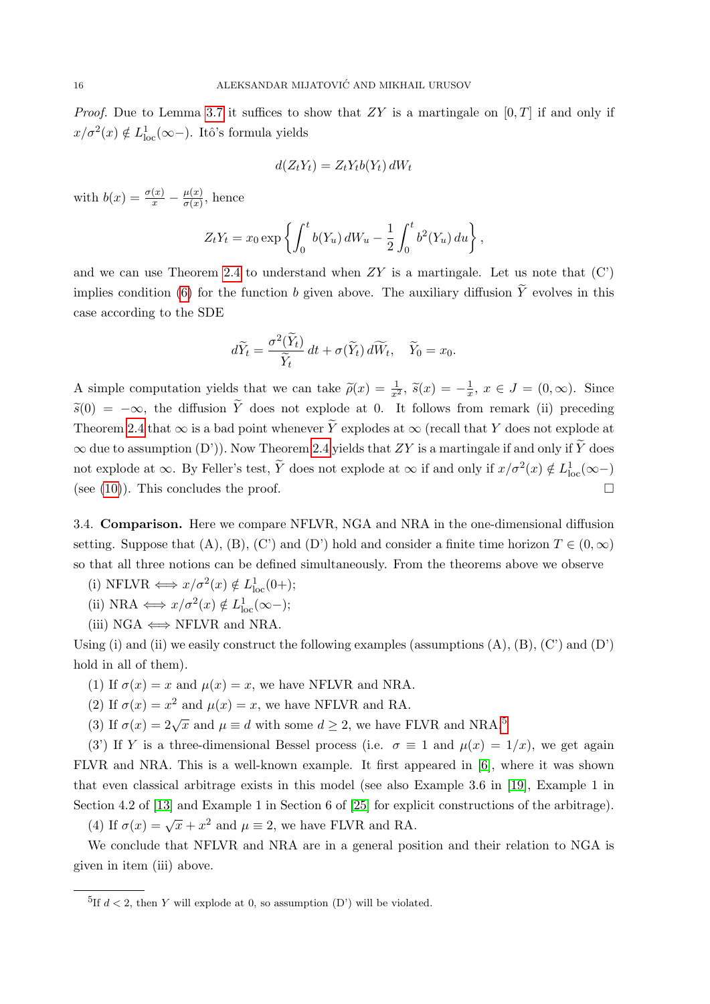*Proof.* Due to Lemma [3.7](#page-13-1) it suffices to show that  $ZY$  is a martingale on  $[0, T]$  if and only if  $x/\sigma^2(x) \notin L^1_{\text{loc}}(\infty-)$ . Itô's formula yields

$$
d(Z_t Y_t) = Z_t Y_t b(Y_t) dW_t
$$

with  $b(x) = \frac{\sigma(x)}{x} - \frac{\mu(x)}{\sigma(x)}$  $\frac{\mu(x)}{\sigma(x)}$ , hence

$$
Z_t Y_t = x_0 \exp \left\{ \int_0^t b(Y_u) dW_u - \frac{1}{2} \int_0^t b^2(Y_u) du \right\},\,
$$

and we can use Theorem [2.4](#page-6-2) to understand when  $ZY$  is a martingale. Let us note that  $(C)$ implies condition [\(6\)](#page-3-3) for the function b given above. The auxiliary diffusion  $\widetilde{Y}$  evolves in this case according to the SDE

$$
d\widetilde{Y}_t = \frac{\sigma^2(\widetilde{Y}_t)}{\widetilde{Y}_t} dt + \sigma(\widetilde{Y}_t) d\widetilde{W}_t, \quad \widetilde{Y}_0 = x_0.
$$

A simple computation yields that we can take  $\tilde{\rho}(x) = \frac{1}{x^2}$ ,  $\tilde{s}(x) = -\frac{1}{x}$  $\frac{1}{x}, x \in J = (0, \infty)$ . Since  $\widetilde{s}(0) = -\infty$ , the diffusion  $\widetilde{Y}$  does not explode at 0. It follows from remark (ii) preceding Theorem [2.4](#page-6-2) that  $\infty$  is a bad point whenever  $\widetilde{Y}$  explodes at  $\infty$  (recall that Y does not explode at  $\infty$  due to assumption (D')). Now Theorem [2.4](#page-6-2) yields that ZY is a martingale if and only if  $\widetilde{Y}$  does not explode at  $\infty$ . By Feller's test,  $\tilde{Y}$  does not explode at  $\infty$  if and only if  $x/\sigma^2(x) \notin L^1_{loc}(\infty-)$ (see [\(10\)](#page-4-2)). This concludes the proof.  $\square$ 

<span id="page-15-0"></span>3.4. Comparison. Here we compare NFLVR, NGA and NRA in the one-dimensional diffusion setting. Suppose that (A), (B), (C') and (D') hold and consider a finite time horizon  $T \in (0,\infty)$ so that all three notions can be defined simultaneously. From the theorems above we observe

- (i) NFLVR  $\Longleftrightarrow x/\sigma^2(x) \notin L^1_{loc}(0+);$
- (ii) NRA  $\Longleftrightarrow x/\sigma^2(x) \notin L^1_{loc}(\infty-)$ ;
- (iii)  $NGA \iff NFLVR$  and  $NRA$ .

Using (i) and (ii) we easily construct the following examples (assumptions  $(A)$ ,  $(B)$ ,  $(C')$  and  $(D')$ hold in all of them).

- (1) If  $\sigma(x) = x$  and  $\mu(x) = x$ , we have NFLVR and NRA.
- (2) If  $\sigma(x) = x^2$  and  $\mu(x) = x$ , we have NFLVR and RA.
- (3) If  $\sigma(x) = 2\sqrt{x}$  and  $\mu \equiv d$  with some  $d \geq 2$ , we have FLVR and NRA.<sup>[5](#page-15-1)</sup>

(3) If Y is a three-dimensional Bessel process (i.e.  $\sigma \equiv 1$  and  $\mu(x) = 1/x$ ), we get again FLVR and NRA. This is a well-known example. It first appeared in [\[6\]](#page-18-9), where it was shown that even classical arbitrage exists in this model (see also Example 3.6 in [\[19\]](#page-19-14), Example 1 in Section 4.2 of [\[13\]](#page-19-12) and Example 1 in Section 6 of [\[25\]](#page-19-6) for explicit constructions of the arbitrage).

(4) If  $\sigma(x) = \sqrt{x} + x^2$  and  $\mu \equiv 2$ , we have FLVR and RA.

We conclude that NFLVR and NRA are in a general position and their relation to NGA is given in item (iii) above.

<span id="page-15-1"></span><sup>&</sup>lt;sup>5</sup>If  $d < 2$ , then Y will explode at 0, so assumption (D') will be violated.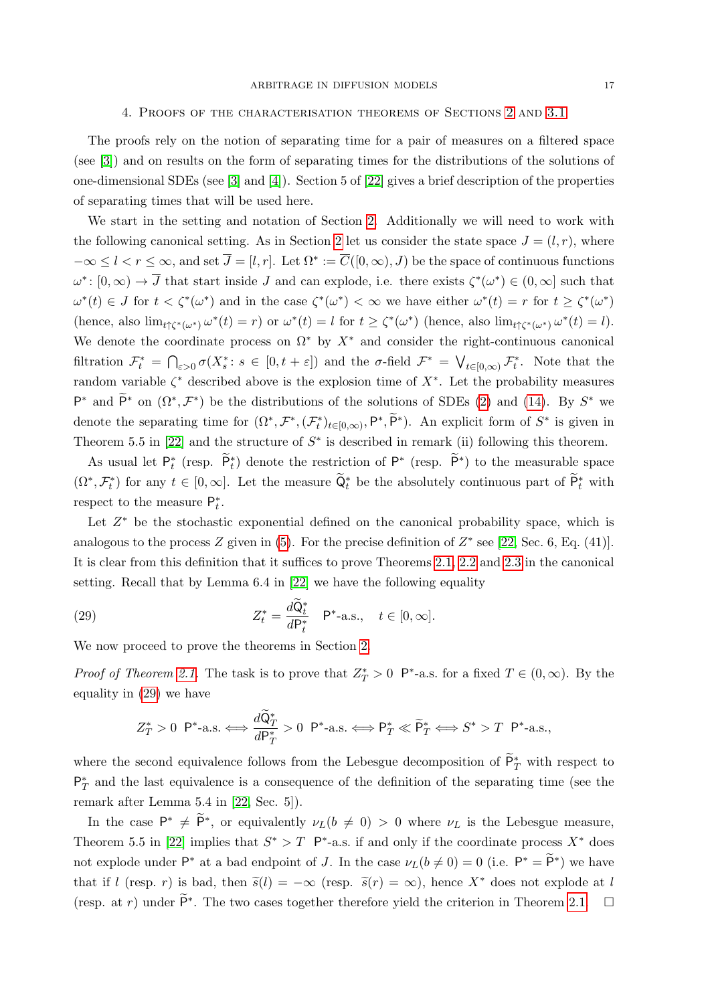#### 4. Proofs of the characterisation theorems of Sections [2](#page-2-0) and [3.1](#page-8-0)

<span id="page-16-0"></span>The proofs rely on the notion of separating time for a pair of measures on a filtered space (see [\[3\]](#page-18-10)) and on results on the form of separating times for the distributions of the solutions of one-dimensional SDEs (see [\[3\]](#page-18-10) and [\[4\]](#page-18-11)). Section 5 of [\[22\]](#page-19-7) gives a brief description of the properties of separating times that will be used here.

We start in the setting and notation of Section [2.](#page-2-0) Additionally we will need to work with the following canonical setting. As in Section [2](#page-2-0) let us consider the state space  $J = (l, r)$ , where  $-\infty \leq l < r \leq \infty$ , and set  $\overline{J} = [l, r]$ . Let  $\Omega^* := \overline{C}([0, \infty), J)$  be the space of continuous functions  $\omega^*: [0, \infty) \to \overline{J}$  that start inside  $J$  and can explode, i.e. there exists  $\zeta^*(\omega^*) \in (0, \infty]$  such that  $\omega^*(t) \in J$  for  $t < \zeta^*(\omega^*)$  and in the case  $\zeta^*(\omega^*) < \infty$  we have either  $\omega^*(t) = r$  for  $t \geq \zeta^*(\omega^*)$ (hence, also  $\lim_{t \uparrow \zeta^*(\omega^*)} \omega^*(t) = r$ ) or  $\omega^*(t) = l$  for  $t \geq \zeta^*(\omega^*)$  (hence, also  $\lim_{t \uparrow \zeta^*(\omega^*)} \omega^*(t) = l$ ). We denote the coordinate process on  $\Omega^*$  by  $X^*$  and consider the right-continuous canonical filtration  $\mathcal{F}_t^* = \bigcap_{\varepsilon > 0} \sigma(X_s^* : s \in [0, t + \varepsilon])$  and the  $\sigma$ -field  $\mathcal{F}^* = \bigvee_{t \in [0, \infty)} \mathcal{F}_t^*$ . Note that the random variable  $\zeta^*$  described above is the explosion time of  $X^*$ . Let the probability measures  $\mathsf{P}^*$  and  $\widetilde{\mathsf{P}}^*$  on  $(\Omega^*, \mathcal{F}^*)$  be the distributions of the solutions of SDEs [\(2\)](#page-2-1) and [\(14\)](#page-5-1). By  $S^*$  we denote the separating time for  $(\Omega^*, \mathcal{F}^*, (\mathcal{F}^*_t)_{t\in[0,\infty)}, P^*, \tilde{P}^*)$ . An explicit form of  $S^*$  is given in Theorem 5.5 in [\[22\]](#page-19-7) and the structure of  $S^*$  is described in remark (ii) following this theorem.

As usual let  $\mathsf{P}_t^*$  (resp.  $\widetilde{\mathsf{P}}_t^*$ ) denote the restriction of  $\mathsf{P}^*$  (resp.  $\widetilde{\mathsf{P}}^*$ ) to the measurable space  $(\Omega^*, \mathcal{F}_t^*)$  for any  $t \in [0, \infty]$ . Let the measure  $\tilde{Q}_t^*$  be the absolutely continuous part of  $\tilde{P}_t^*$  with respect to the measure  $P_t^*$ .

Let  $Z^*$  be the stochastic exponential defined on the canonical probability space, which is analogous to the process Z given in  $(5)$ . For the precise definition of  $Z^*$  see [\[22,](#page-19-7) Sec. 6, Eq. (41)]. It is clear from this definition that it suffices to prove Theorems [2.1,](#page-4-0) [2.2](#page-4-1) and [2.3](#page-5-0) in the canonical setting. Recall that by Lemma 6.4 in [\[22\]](#page-19-7) we have the following equality

(29) 
$$
Z_t^* = \frac{d\widetilde{Q}_t^*}{dP_t^*} \quad P^* - a.s., \quad t \in [0, \infty].
$$

We now proceed to prove the theorems in Section [2.](#page-2-0)

*Proof of Theorem [2.1.](#page-4-0)* The task is to prove that  $Z_T^* > 0$  P<sup>\*</sup>-a.s. for a fixed  $T \in (0, \infty)$ . By the equality in [\(29\)](#page-16-1) we have

<span id="page-16-1"></span>
$$
Z_T^* > 0 \ \mathsf{P}^*-\text{a.s.} \Longleftrightarrow \frac{d\widetilde{\mathsf{Q}}_T^*}{d\mathsf{P}_T^*} > 0 \ \mathsf{P}^*-\text{a.s.} \Longleftrightarrow \mathsf{P}_T^* \ll \widetilde{\mathsf{P}}_T^* \Longleftrightarrow S^* > T \ \mathsf{P}^*-\text{a.s.},
$$

where the second equivalence follows from the Lebesgue decomposition of  $\tilde{P}^*_T$  with respect to  $P_T^*$  and the last equivalence is a consequence of the definition of the separating time (see the remark after Lemma 5.4 in [\[22,](#page-19-7) Sec. 5]).

In the case  $P^* \neq \tilde{P}^*$ , or equivalently  $\nu_L(b \neq 0) > 0$  where  $\nu_L$  is the Lebesgue measure, Theorem 5.5 in [\[22\]](#page-19-7) implies that  $S^* > T$  P<sup>\*</sup>-a.s. if and only if the coordinate process  $X^*$  does not explode under  $\mathsf{P}^*$  at a bad endpoint of J. In the case  $\nu_L(b \neq 0) = 0$  (i.e.  $\mathsf{P}^* = \widetilde{\mathsf{P}}^*$ ) we have that if l (resp. r) is bad, then  $\tilde{s}(l) = -\infty$  (resp.  $\tilde{s}(r) = \infty$ ), hence  $X^*$  does not explode at l (resp. at r) under  $\tilde{P}^*$ . The two cases together therefore yield the criterion in Theorem [2.1.](#page-4-0)  $\Box$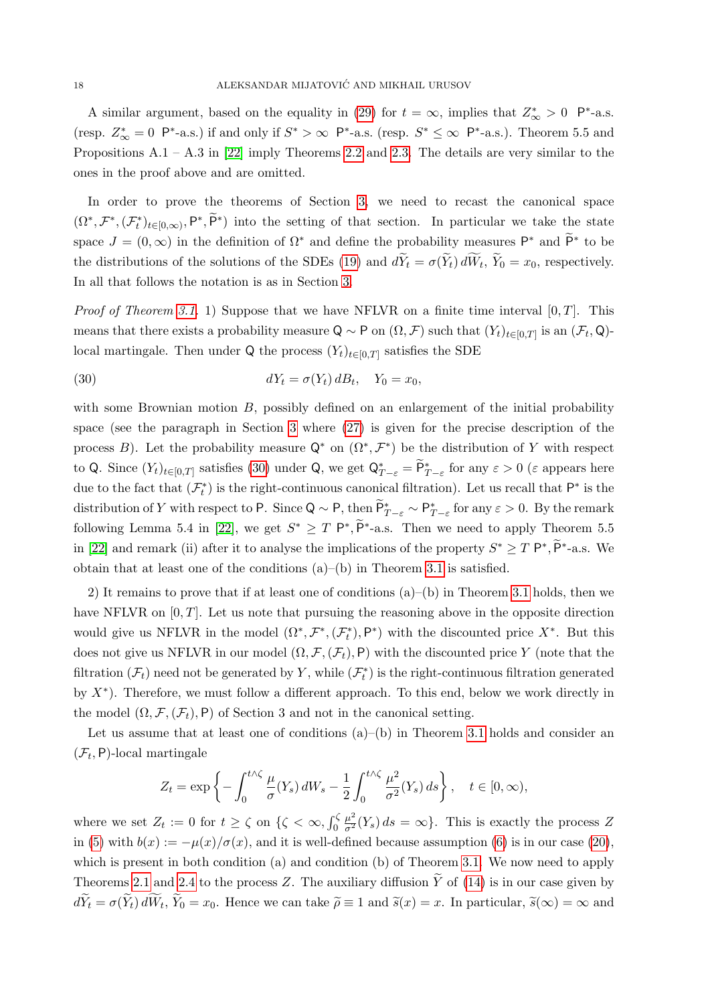A similar argument, based on the equality in [\(29\)](#page-16-1) for  $t = \infty$ , implies that  $Z^*_{\infty} > 0$  P<sup>\*</sup>-a.s. (resp.  $Z^*_{\infty} = 0$  P<sup>\*</sup>-a.s.) if and only if  $S^* > \infty$  P<sup>\*</sup>-a.s. (resp.  $S^* \leq \infty$  P<sup>\*</sup>-a.s.). Theorem 5.5 and Propositions  $A.1 - A.3$  in [\[22\]](#page-19-7) imply Theorems [2.2](#page-4-1) and [2.3.](#page-5-0) The details are very similar to the ones in the proof above and are omitted.

In order to prove the theorems of Section [3,](#page-7-0) we need to recast the canonical space  $(\Omega^*,\mathcal{F}^*,(\mathcal{F}^*_t)_{t\in[0,\infty)},\mathsf{P}^*,\widetilde{\mathsf{P}}^*)$  into the setting of that section. In particular we take the state space  $J = (0, \infty)$  in the definition of  $\Omega^*$  and define the probability measures  $\mathsf{P}^*$  and  $\widetilde{\mathsf{P}}^*$  to be the distributions of the solutions of the SDEs [\(19\)](#page-7-2) and  $dY_t = \sigma(Y_t) dW_t$ ,  $Y_0 = x_0$ , respectively. In all that follows the notation is as in Section [3.](#page-7-0)

*Proof of Theorem [3.1.](#page-9-0)* 1) Suppose that we have NFLVR on a finite time interval  $[0, T]$ . This means that there exists a probability measure  $Q \sim P$  on  $(\Omega, \mathcal{F})$  such that  $(Y_t)_{t \in [0,T]}$  is an  $(\mathcal{F}_t, Q)$ local martingale. Then under Q the process  $(Y_t)_{t\in[0,T]}$  satisfies the SDE

<span id="page-17-0"></span>(30) 
$$
dY_t = \sigma(Y_t) dB_t, \quad Y_0 = x_0,
$$

with some Brownian motion  $B$ , possibly defined on an enlargement of the initial probability space (see the paragraph in Section [3](#page-7-0) where [\(27\)](#page-12-0) is given for the precise description of the process B). Let the probability measure  $\mathsf{Q}^*$  on  $(\Omega^*, \mathcal{F}^*)$  be the distribution of Y with respect to Q. Since  $(Y_t)_{t\in[0,T]}$  satisfies [\(30\)](#page-17-0) under Q, we get  $\mathsf{Q}_{T-\varepsilon}^* = \widetilde{\mathsf{P}}_{T-\varepsilon}^*$  for any  $\varepsilon > 0$  ( $\varepsilon$  appears here due to the fact that  $(\mathcal{F}_t^*)$  is the right-continuous canonical filtration). Let us recall that  $\mathsf{P}^*$  is the distribution of Y with respect to P. Since  $Q \sim P$ , then  $\widetilde{P}_{T-\varepsilon}^* \sim P_{T-\varepsilon}^*$  for any  $\varepsilon > 0$ . By the remark following Lemma 5.4 in [\[22\]](#page-19-7), we get  $S^* \ge T P^*, \widetilde{P}^*$ -a.s. Then we need to apply Theorem 5.5 in [\[22\]](#page-19-7) and remark (ii) after it to analyse the implications of the property  $S^* \ge T P^*, \tilde{P}^*$ -a.s. We obtain that at least one of the conditions  $(a)$ –(b) in Theorem [3.1](#page-9-0) is satisfied.

2) It remains to prove that if at least one of conditions (a)–(b) in Theorem [3.1](#page-9-0) holds, then we have NFLVR on  $[0, T]$ . Let us note that pursuing the reasoning above in the opposite direction would give us NFLVR in the model  $(\Omega^*, \mathcal{F}^*, (\mathcal{F}^*_t), \mathsf{P}^*)$  with the discounted price  $X^*$ . But this does not give us NFLVR in our model  $(\Omega, \mathcal{F}, (\mathcal{F}_t), P)$  with the discounted price Y (note that the filtration  $(\mathcal{F}_t)$  need not be generated by Y, while  $(\mathcal{F}_t^*)$  is the right-continuous filtration generated by  $X^*$ ). Therefore, we must follow a different approach. To this end, below we work directly in the model  $(\Omega, \mathcal{F}, (\mathcal{F}_t), P)$  of Section 3 and not in the canonical setting.

Let us assume that at least one of conditions  $(a)$ –(b) in Theorem [3.1](#page-9-0) holds and consider an  $(\mathcal{F}_t, \mathsf{P})$ -local martingale

$$
Z_t = \exp\left\{-\int_0^{t\wedge\zeta} \frac{\mu}{\sigma}(Y_s) dW_s - \frac{1}{2} \int_0^{t\wedge\zeta} \frac{\mu^2}{\sigma^2}(Y_s) ds\right\}, \quad t \in [0, \infty),
$$

where we set  $Z_t := 0$  for  $t \ge \zeta$  on  $\{\zeta < \infty, \int_0^{\zeta}$  $\frac{\mu^2}{\sigma^2}(Y_s) ds = \infty$ . This is exactly the process Z in [\(5\)](#page-3-0) with  $b(x) := -\mu(x)/\sigma(x)$ , and it is well-defined because assumption [\(6\)](#page-3-3) is in our case [\(20\)](#page-8-1), which is present in both condition (a) and condition (b) of Theorem [3.1.](#page-9-0) We now need to apply Theorems [2.1](#page-4-0) and [2.4](#page-6-2) to the process Z. The auxiliary diffusion  $\tilde{Y}$  of [\(14\)](#page-5-1) is in our case given by  $dY_t = \sigma(Y_t) dW_t$ ,  $Y_0 = x_0$ . Hence we can take  $\tilde{\rho} \equiv 1$  and  $\tilde{s}(x) = x$ . In particular,  $\tilde{s}(\infty) = \infty$  and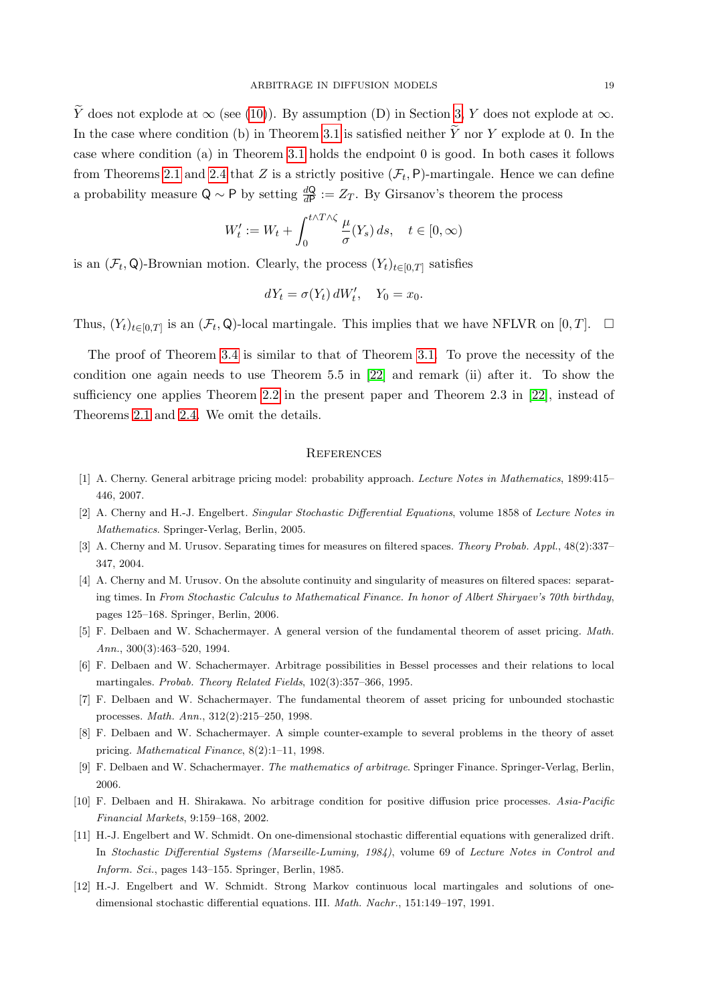$\widetilde{Y}$  does not explode at  $\infty$  (see [\(10\)](#page-4-2)). By assumption (D) in Section [3,](#page-7-0) Y does not explode at  $\infty$ . In the case where condition (b) in Theorem [3.1](#page-9-0) is satisfied neither  $\widetilde{Y}$  nor Y explode at 0. In the case where condition (a) in Theorem [3.1](#page-9-0) holds the endpoint 0 is good. In both cases it follows from Theorems [2.1](#page-4-0) and [2.4](#page-6-2) that Z is a strictly positive  $(\mathcal{F}_t, \mathsf{P})$ -martingale. Hence we can define a probability measure Q ~ P by setting  $\frac{dQ}{dP} := Z_T$ . By Girsanov's theorem the process

$$
W'_t := W_t + \int_0^{t \wedge T \wedge \zeta} \frac{\mu}{\sigma}(Y_s) \, ds, \quad t \in [0, \infty)
$$

is an  $(\mathcal{F}_t, \mathsf{Q})$ -Brownian motion. Clearly, the process  $(Y_t)_{t \in [0,T]}$  satisfies

$$
dY_t = \sigma(Y_t) dW'_t, \quad Y_0 = x_0.
$$

Thus,  $(Y_t)_{t\in[0,T]}$  is an  $(\mathcal{F}_t, \mathsf{Q})$ -local martingale. This implies that we have NFLVR on  $[0,T]$ .  $\Box$ 

The proof of Theorem [3.4](#page-10-3) is similar to that of Theorem [3.1.](#page-9-0) To prove the necessity of the condition one again needs to use Theorem 5.5 in [\[22\]](#page-19-7) and remark (ii) after it. To show the sufficiency one applies Theorem [2.2](#page-4-1) in the present paper and Theorem 2.3 in [\[22\]](#page-19-7), instead of Theorems [2.1](#page-4-0) and [2.4.](#page-6-2) We omit the details.

#### **REFERENCES**

- <span id="page-18-2"></span>[1] A. Cherny. General arbitrage pricing model: probability approach. Lecture Notes in Mathematics, 1899:415– 446, 2007.
- <span id="page-18-8"></span>[2] A. Cherny and H.-J. Engelbert. Singular Stochastic Differential Equations, volume 1858 of Lecture Notes in Mathematics. Springer-Verlag, Berlin, 2005.
- <span id="page-18-10"></span>[3] A. Cherny and M. Urusov. Separating times for measures on filtered spaces. Theory Probab. Appl., 48(2):337– 347, 2004.
- <span id="page-18-11"></span>[4] A. Cherny and M. Urusov. On the absolute continuity and singularity of measures on filtered spaces: separating times. In From Stochastic Calculus to Mathematical Finance. In honor of Albert Shiryaev's 70th birthday, pages 125–168. Springer, Berlin, 2006.
- <span id="page-18-0"></span>[5] F. Delbaen and W. Schachermayer. A general version of the fundamental theorem of asset pricing. Math. Ann., 300(3):463–520, 1994.
- <span id="page-18-9"></span>[6] F. Delbaen and W. Schachermayer. Arbitrage possibilities in Bessel processes and their relations to local martingales. Probab. Theory Related Fields, 102(3):357–366, 1995.
- <span id="page-18-1"></span>[7] F. Delbaen and W. Schachermayer. The fundamental theorem of asset pricing for unbounded stochastic processes. Math. Ann., 312(2):215–250, 1998.
- <span id="page-18-5"></span>[8] F. Delbaen and W. Schachermayer. A simple counter-example to several problems in the theory of asset pricing. Mathematical Finance, 8(2):1–11, 1998.
- <span id="page-18-3"></span>[9] F. Delbaen and W. Schachermayer. The mathematics of arbitrage. Springer Finance. Springer-Verlag, Berlin, 2006.
- <span id="page-18-4"></span>[10] F. Delbaen and H. Shirakawa. No arbitrage condition for positive diffusion price processes. Asia-Pacific Financial Markets, 9:159–168, 2002.
- <span id="page-18-6"></span>[11] H.-J. Engelbert and W. Schmidt. On one-dimensional stochastic differential equations with generalized drift. In Stochastic Differential Systems (Marseille-Luminy, 1984), volume 69 of Lecture Notes in Control and Inform. Sci., pages 143–155. Springer, Berlin, 1985.
- <span id="page-18-7"></span>[12] H.-J. Engelbert and W. Schmidt. Strong Markov continuous local martingales and solutions of onedimensional stochastic differential equations. III. Math. Nachr., 151:149–197, 1991.